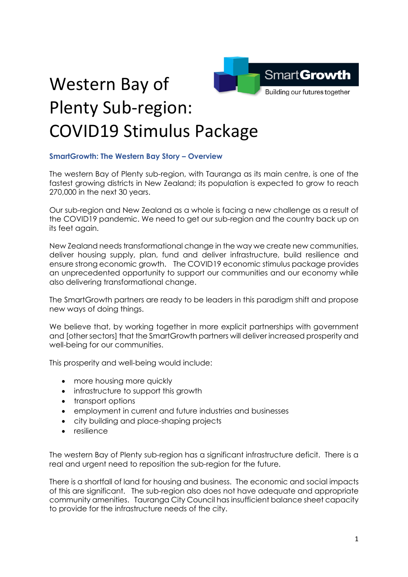

## Western Bay of Plenty Sub-region: COVID19 Stimulus Package

## **SmartGrowth: The Western Bay Story – Overview**

The western Bay of Plenty sub-region, with Tauranga as its main centre, is one of the fastest growing districts in New Zealand; its population is expected to grow to reach 270,000 in the next 30 years.

Our sub-region and New Zealand as a whole is facing a new challenge as a result of the COVID19 pandemic. We need to get our sub-region and the country back up on its feet again.

New Zealand needs transformational change in the way we create new communities, deliver housing supply, plan, fund and deliver infrastructure, build resilience and ensure strong economic growth. The COVID19 economic stimulus package provides an unprecedented opportunity to support our communities and our economy while also delivering transformational change.

The SmartGrowth partners are ready to be leaders in this paradigm shift and propose new ways of doing things.

We believe that, by working together in more explicit partnerships with government and [other sectors] that the SmartGrowth partners will deliver increased prosperity and well-being for our communities.

This prosperity and well-being would include:

- more housing more quickly
- infrastructure to support this growth
- transport options
- employment in current and future industries and businesses
- city building and place-shaping projects
- resilience

The western Bay of Plenty sub-region has a significant infrastructure deficit. There is a real and urgent need to reposition the sub-region for the future.

There is a shortfall of land for housing and business. The economic and social impacts of this are significant. The sub-region also does not have adequate and appropriate community amenities. Tauranga City Council has insufficient balance sheet capacity to provide for the infrastructure needs of the city.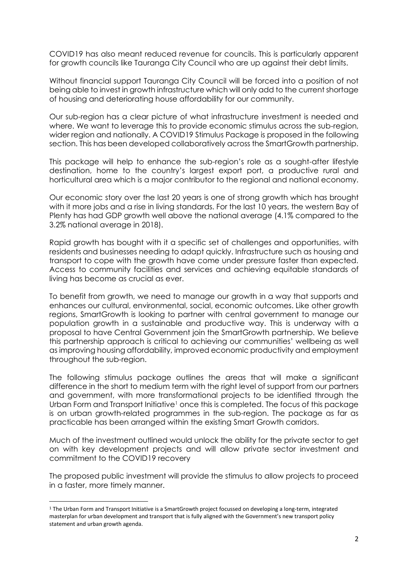COVID19 has also meant reduced revenue for councils. This is particularly apparent for growth councils like Tauranga City Council who are up against their debt limits.

Without financial support Tauranga City Council will be forced into a position of not being able to invest in growth infrastructure which will only add to the current shortage of housing and deteriorating house affordability for our community.

Our sub-region has a clear picture of what infrastructure investment is needed and where. We want to leverage this to provide economic stimulus across the sub-region, wider region and nationally. A COVID19 Stimulus Package is proposed in the following section. This has been developed collaboratively across the SmartGrowth partnership.

This package will help to enhance the sub-region's role as a sought-after lifestyle destination, home to the country's largest export port, a productive rural and horticultural area which is a major contributor to the regional and national economy.

Our economic story over the last 20 years is one of strong growth which has brought with it more jobs and a rise in living standards. For the last 10 years, the western Bay of Plenty has had GDP growth well above the national average (4.1% compared to the 3.2% national average in 2018).

Rapid growth has bought with it a specific set of challenges and opportunities, with residents and businesses needing to adapt quickly. Infrastructure such as housing and transport to cope with the growth have come under pressure faster than expected. Access to community facilities and services and achieving equitable standards of living has become as crucial as ever.

To benefit from growth, we need to manage our growth in a way that supports and enhances our cultural, environmental, social, economic outcomes. Like other growth regions, SmartGrowth is looking to partner with central government to manage our population growth in a sustainable and productive way. This is underway with a proposal to have Central Government join the SmartGrowth partnership. We believe this partnership approach is critical to achieving our communities' wellbeing as well as improving housing affordability, improved economic productivity and employment throughout the sub-region.

The following stimulus package outlines the areas that will make a significant difference in the short to medium term with the right level of support from our partners and government, with more transformational projects to be identified through the Urban Form and Transport Initiative<sup>1</sup> once this is completed. The focus of this package is on urban growth-related programmes in the sub-region. The package as far as practicable has been arranged within the existing Smart Growth corridors.

Much of the investment outlined would unlock the ability for the private sector to get on with key development projects and will allow private sector investment and commitment to the COVID19 recovery

The proposed public investment will provide the stimulus to allow projects to proceed in a faster, more timely manner.

<sup>1</sup> The Urban Form and Transport Initiative is a SmartGrowth project focussed on developing a long-term, integrated masterplan for urban development and transport that is fully aligned with the Government's new transport policy statement and urban growth agenda.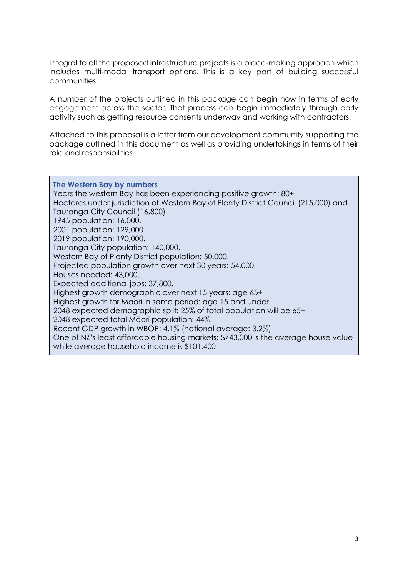Integral to all the proposed infrastructure projects is a place-making approach which includes multi-modal transport options. This is a key part of building successful communities.

A number of the projects outlined in this package can begin now in terms of early engagement across the sector. That process can begin immediately through early activity such as getting resource consents underway and working with contractors.

Attached to this proposal is a letter from our development community supporting the package outlined in this document as well as providing undertakings in terms of their role and responsibilities.

**The Western Bay by numbers** Years the western Bay has been experiencing positive growth: 80+ Hectares under jurisdiction of Western Bay of Plenty District Council (215,000) and Tauranga City Council (16,800) 1945 population: 16,000. 2001 population: 129,000 2019 population: 190,000. Tauranga City population: 140,000. Western Bay of Plenty District population: 50,000. Projected population growth over next 30 years: 54,000. Houses needed: 43,000. Expected additional jobs: 37,800. Highest growth demographic over next 15 years: age 65+ Highest growth for Māori in same period: age 15 and under. 2048 expected demographic split: 25% of total population will be 65+ 2048 expected total Māori population: 44% Recent GDP growth in WBOP: 4.1% (national average: 3.2%) One of NZ's least affordable housing markets: \$743,000 is the average house value while average household income is \$101,400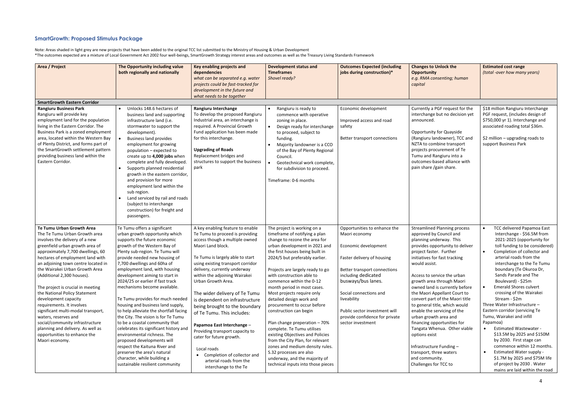## **SmartGrowth: Proposed Stimulus Package**

Note: Areas shaded in light grey are new projects that have been added to the original TCC list submitted to the Ministry of Housing & Urban Development \*The outcomes expected are a mixture of Local Government Act 2002 four well-beings, SmartGrowth Strategy interest areas and outcomes as well as the Treasury Living Standards Framework

| Area / Project                                                                                                                                                                                                                                                                                                                                                   | The Opportunity including value<br>both regionally and nationally                                                                                                                                                                                                                                                                                                                                                                                                                                                                                    | Key enabling projects and<br>dependencies<br>what can be separated e.g. water<br>projects could be fast-tracked for<br>development in the future and<br>what needs to be together                                                                                                                | <b>Development status and</b><br><b>Timeframes</b><br>Shovel ready?                                                                                                                                                                                                                                          | <b>Outcomes Expected (including</b><br>jobs during construction)*                          | <b>Changes to Unlock the</b><br><b>Opportunity</b><br>e.g. RMA consenting; human<br>capital                                                                                                                                                                                                            | <b>Estimated cost range</b><br>(total -over how many years)                                                                                                                                                 |
|------------------------------------------------------------------------------------------------------------------------------------------------------------------------------------------------------------------------------------------------------------------------------------------------------------------------------------------------------------------|------------------------------------------------------------------------------------------------------------------------------------------------------------------------------------------------------------------------------------------------------------------------------------------------------------------------------------------------------------------------------------------------------------------------------------------------------------------------------------------------------------------------------------------------------|--------------------------------------------------------------------------------------------------------------------------------------------------------------------------------------------------------------------------------------------------------------------------------------------------|--------------------------------------------------------------------------------------------------------------------------------------------------------------------------------------------------------------------------------------------------------------------------------------------------------------|--------------------------------------------------------------------------------------------|--------------------------------------------------------------------------------------------------------------------------------------------------------------------------------------------------------------------------------------------------------------------------------------------------------|-------------------------------------------------------------------------------------------------------------------------------------------------------------------------------------------------------------|
| <b>SmartGrowth Eastern Corridor</b>                                                                                                                                                                                                                                                                                                                              |                                                                                                                                                                                                                                                                                                                                                                                                                                                                                                                                                      |                                                                                                                                                                                                                                                                                                  |                                                                                                                                                                                                                                                                                                              |                                                                                            |                                                                                                                                                                                                                                                                                                        |                                                                                                                                                                                                             |
| <b>Rangiuru Business Park</b><br>Rangiuru will provide key<br>employment land for the population<br>living in the Eastern Corridor. The<br>Business Park is a zoned employment<br>area, located within the Western Bay<br>of Plenty District, and forms part of<br>the SmartGrowth settlement pattern<br>providing business land within the<br>Eastern Corridor. | Unlocks 148.6 hectares of<br>business land and supporting<br>infrastructure land (i.e.<br>stormwater to support the<br>development).<br><b>Business land provides</b><br>employment for growing<br>population - expected to<br>create up to 4,000 jobs when<br>complete and fully developed.<br>Supports planned residential<br>growth in the eastern corridor,<br>and provision for more<br>employment land within the<br>sub region.<br>Land serviced by rail and roads<br>(subject to interchange<br>construction) for freight and<br>passengers. | Rangiuru Interchange<br>To develop the proposed Rangiuru<br>Industrial area, an interchange is<br>required. A Provincial Growth<br>Fund application has been made<br>for this interchange.<br><b>Upgrading of Roads</b><br>Replacement bridges and<br>structures to support the business<br>park | Rangiuru is ready to<br>commence with operative<br>zoning in place.<br>Design ready for interchange<br>to proceed, subject to<br>funding.<br>Majority landowner is a CCO<br>of the Bay of Plenty Regional<br>Council.<br>Geotechnical work complete,<br>for subdivision to proceed.<br>Timeframe: 0-6 months | Economic development<br>Improved access and road<br>safety<br>Better transport connections | Currently a PGF request for the<br>interchange but no decision yet<br>announced.<br><b>Opportunity for Quayside</b><br>(Rangiuru landowner), TCC and<br>NZTA to combine transport<br>projects procurement of Te<br>Tumu and Rangiuru into a<br>outcomes-based alliance with<br>pain share /gain share. | \$18 million Rangiuru Interchange<br>PGF request, (includes design of<br>\$750,000 yr 1). Interchange and<br>associated roading total \$36m.<br>\$2 million $-$ upgrading roads to<br>support Business Park |
| Te Tumu Urban Growth Area                                                                                                                                                                                                                                                                                                                                        | Te Tumu offers a significant                                                                                                                                                                                                                                                                                                                                                                                                                                                                                                                         | A key enabling feature to enable                                                                                                                                                                                                                                                                 | The project is working on a                                                                                                                                                                                                                                                                                  | Opportunities to enhance the                                                               | <b>Streamlined Planning process</b>                                                                                                                                                                                                                                                                    | TCC delivered Papamoa East                                                                                                                                                                                  |
| The Te Tumu Urban Growth area                                                                                                                                                                                                                                                                                                                                    | urban growth opportunity which                                                                                                                                                                                                                                                                                                                                                                                                                                                                                                                       | Te Tumu to proceed is providing                                                                                                                                                                                                                                                                  | timeframe of notifying a plan                                                                                                                                                                                                                                                                                | Maori economy                                                                              | approved by Council and                                                                                                                                                                                                                                                                                | Interchange - \$56.5M from                                                                                                                                                                                  |
| involves the delivery of a new<br>greenfield urban growth area of                                                                                                                                                                                                                                                                                                | supports the future economic<br>growth of the Western Bay of                                                                                                                                                                                                                                                                                                                                                                                                                                                                                         | access though a multiple owned<br>Maori Land block.                                                                                                                                                                                                                                              | change to rezone the area for<br>urban development in 2021 and                                                                                                                                                                                                                                               | Economic development                                                                       | planning underway. This<br>provides opportunity to deliver                                                                                                                                                                                                                                             | 2021-2025 (opportunity for<br>toll funding to be considered)                                                                                                                                                |
| approximately 7,700 dwellings, 60                                                                                                                                                                                                                                                                                                                                | Plenty sub-region. Te Tumu will                                                                                                                                                                                                                                                                                                                                                                                                                                                                                                                      |                                                                                                                                                                                                                                                                                                  | the first houses being built in                                                                                                                                                                                                                                                                              |                                                                                            | project faster. Further                                                                                                                                                                                                                                                                                | Completion of collector and<br>$\bullet$                                                                                                                                                                    |
| hectares of employment land with                                                                                                                                                                                                                                                                                                                                 | provide needed new housing of                                                                                                                                                                                                                                                                                                                                                                                                                                                                                                                        | Te Tumu is largely able to start                                                                                                                                                                                                                                                                 | 2024/5 but preferably earlier.                                                                                                                                                                                                                                                                               | Faster delivery of housing                                                                 | initiatives for fast tracking                                                                                                                                                                                                                                                                          | arterial roads from the                                                                                                                                                                                     |
| an adjoining town centre located in                                                                                                                                                                                                                                                                                                                              | 7,700 dwellings and 60ha of                                                                                                                                                                                                                                                                                                                                                                                                                                                                                                                          | using existing transport corridor                                                                                                                                                                                                                                                                |                                                                                                                                                                                                                                                                                                              |                                                                                            | would assist.                                                                                                                                                                                                                                                                                          | interchange to the Te Tumu                                                                                                                                                                                  |
| the Wairakei Urban Growth Area                                                                                                                                                                                                                                                                                                                                   | employment land, with housing                                                                                                                                                                                                                                                                                                                                                                                                                                                                                                                        | delivery, currently underway                                                                                                                                                                                                                                                                     | Projects are largely ready to go                                                                                                                                                                                                                                                                             | Better transport connections                                                               |                                                                                                                                                                                                                                                                                                        | boundary (Te Okuroa Dr,                                                                                                                                                                                     |
| (Additional 2,300 houses).                                                                                                                                                                                                                                                                                                                                       | development aiming to start in                                                                                                                                                                                                                                                                                                                                                                                                                                                                                                                       | within the adjoining Wairakei                                                                                                                                                                                                                                                                    | with construction able to                                                                                                                                                                                                                                                                                    | including dedicated                                                                        | Access to service the urban                                                                                                                                                                                                                                                                            | Sands Parade and The                                                                                                                                                                                        |
|                                                                                                                                                                                                                                                                                                                                                                  | 2024/25 or earlier if fast track                                                                                                                                                                                                                                                                                                                                                                                                                                                                                                                     | Urban Growth Area.                                                                                                                                                                                                                                                                               | commence within the 0-12                                                                                                                                                                                                                                                                                     | busways/bus lanes.                                                                         | growth area through Maori                                                                                                                                                                                                                                                                              | Boulevard) - \$25m<br><b>Emerald Shores culvert</b>                                                                                                                                                         |
| The project is crucial in meeting<br>the National Policy Statement                                                                                                                                                                                                                                                                                               | mechanisms become available.                                                                                                                                                                                                                                                                                                                                                                                                                                                                                                                         | The wider delivery of Te Tumu                                                                                                                                                                                                                                                                    | month period in most cases.<br>Most projects require only                                                                                                                                                                                                                                                    | Social connections and                                                                     | owned land is currently before<br>the Maori Appellant Court to                                                                                                                                                                                                                                         | $\bullet$<br>crossing of the Wairakei                                                                                                                                                                       |
| development capacity                                                                                                                                                                                                                                                                                                                                             | Te Tumu provides for much needed                                                                                                                                                                                                                                                                                                                                                                                                                                                                                                                     | is dependent on infrastructure                                                                                                                                                                                                                                                                   | detailed design work and                                                                                                                                                                                                                                                                                     | liveability                                                                                | convert part of the Maori title                                                                                                                                                                                                                                                                        | Stream - \$2m                                                                                                                                                                                               |
| requirements. It involves                                                                                                                                                                                                                                                                                                                                        | housing and business land supply,                                                                                                                                                                                                                                                                                                                                                                                                                                                                                                                    | being brought to the boundary                                                                                                                                                                                                                                                                    | procurement to occur before                                                                                                                                                                                                                                                                                  |                                                                                            | to general title, which would                                                                                                                                                                                                                                                                          | Three Water Infrastructure -                                                                                                                                                                                |
| significant multi-modal transport,                                                                                                                                                                                                                                                                                                                               | to help alleviate the shortfall facing                                                                                                                                                                                                                                                                                                                                                                                                                                                                                                               | of Te Tumu. This includes:                                                                                                                                                                                                                                                                       | construction can begin                                                                                                                                                                                                                                                                                       | Public sector investment will                                                              | enable the servicing of the                                                                                                                                                                                                                                                                            | Eastern corridor (servicing Te                                                                                                                                                                              |
| waters, reserves and                                                                                                                                                                                                                                                                                                                                             | the City. The vision is for Te Tumu                                                                                                                                                                                                                                                                                                                                                                                                                                                                                                                  |                                                                                                                                                                                                                                                                                                  |                                                                                                                                                                                                                                                                                                              | provide confidence for private                                                             | urban growth area and                                                                                                                                                                                                                                                                                  | Tumu, Wairakei and infill                                                                                                                                                                                   |
| social/community infrastructure                                                                                                                                                                                                                                                                                                                                  | to be a coastal community that                                                                                                                                                                                                                                                                                                                                                                                                                                                                                                                       | Papamoa East Interchange -                                                                                                                                                                                                                                                                       | Plan change preperation - 70%                                                                                                                                                                                                                                                                                | sector investment                                                                          | financing opportunities for                                                                                                                                                                                                                                                                            | Papamoa)                                                                                                                                                                                                    |
| planning and delivery. As well as                                                                                                                                                                                                                                                                                                                                | celebrates its significant history and                                                                                                                                                                                                                                                                                                                                                                                                                                                                                                               | Providing transport capacity to                                                                                                                                                                                                                                                                  | complete. Te Tumu utilises                                                                                                                                                                                                                                                                                   |                                                                                            | Tangata Whenua. Other viable                                                                                                                                                                                                                                                                           | <b>Estimated Wastewater -</b><br>$\bullet$<br>\$13.5M by 2025 and \$150M                                                                                                                                    |
| opportunities to enhance the<br>Maori economy.                                                                                                                                                                                                                                                                                                                   | environmental richness. The<br>proposed developments will                                                                                                                                                                                                                                                                                                                                                                                                                                                                                            | cater for future growth.                                                                                                                                                                                                                                                                         | existing Objectives and Policies<br>from the City Plan, for relevant                                                                                                                                                                                                                                         |                                                                                            | options exist                                                                                                                                                                                                                                                                                          | by 2030. First stage can                                                                                                                                                                                    |
|                                                                                                                                                                                                                                                                                                                                                                  | respect the Kaituna River and                                                                                                                                                                                                                                                                                                                                                                                                                                                                                                                        |                                                                                                                                                                                                                                                                                                  | zones and medium density rules.                                                                                                                                                                                                                                                                              |                                                                                            | Infrastructure Funding -                                                                                                                                                                                                                                                                               | commence within 12 months.                                                                                                                                                                                  |
|                                                                                                                                                                                                                                                                                                                                                                  | preserve the area's natural                                                                                                                                                                                                                                                                                                                                                                                                                                                                                                                          | Local roads                                                                                                                                                                                                                                                                                      | S.32 processes are also                                                                                                                                                                                                                                                                                      |                                                                                            | transport, three waters                                                                                                                                                                                                                                                                                | <b>Estimated Water supply -</b><br>$\bullet$                                                                                                                                                                |
|                                                                                                                                                                                                                                                                                                                                                                  | character, while building a                                                                                                                                                                                                                                                                                                                                                                                                                                                                                                                          | Completion of collector and<br>arterial roads from the                                                                                                                                                                                                                                           | underway, and the majority of                                                                                                                                                                                                                                                                                |                                                                                            | and community.                                                                                                                                                                                                                                                                                         | \$1.7M by 2025 and \$75M life                                                                                                                                                                               |
|                                                                                                                                                                                                                                                                                                                                                                  | sustainable resilient community                                                                                                                                                                                                                                                                                                                                                                                                                                                                                                                      | interchange to the Te                                                                                                                                                                                                                                                                            | technical inputs into those pieces                                                                                                                                                                                                                                                                           |                                                                                            | Challenges for TCC to                                                                                                                                                                                                                                                                                  | of project by 2030 . Water                                                                                                                                                                                  |
|                                                                                                                                                                                                                                                                                                                                                                  |                                                                                                                                                                                                                                                                                                                                                                                                                                                                                                                                                      |                                                                                                                                                                                                                                                                                                  |                                                                                                                                                                                                                                                                                                              |                                                                                            |                                                                                                                                                                                                                                                                                                        | mains are laid within the road                                                                                                                                                                              |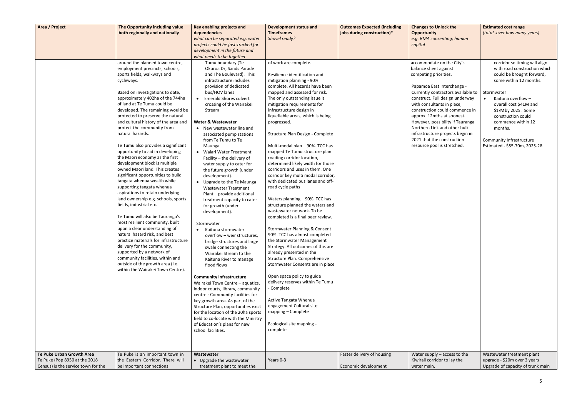| both regionally and nationally<br>dependencies<br><b>Timeframes</b><br>jobs during construction)*<br>(total -over how many years)<br><b>Opportunity</b><br>what can be separated e.g. water<br>Shovel ready?<br>e.g. RMA consenting; human<br>projects could be fast-tracked for<br>capital<br>development in the future and<br>what needs to be together<br>of work are complete.<br>corridor so timing will align<br>around the planned town centre,<br>Tumu boundary (Te<br>accommodate on the City's<br>with road construction which<br>employment precincts, schools,<br>Okuroa Dr, Sands Parade<br>balance sheet against<br>and The Boulevard). This<br>Resilience identification and<br>could be brought forward,<br>sports fields, walkways and<br>competing priorities.<br>infrastructure includes<br>some within 12 months.<br>cycleways.<br>mitigation planning - 90%<br>provision of dedicated<br>complete. All hazards have been<br>Papamoa East Interchange -<br>bus/HOV lanes<br>mapped and assessed for risk.<br>Currently contractors available to<br>Based on investigations to date,<br>Stormwater<br>approximately 402ha of the 744ha<br><b>Emerald Shores culvert</b><br>The only outstanding issue is<br>construct. Full design underway<br>Kaituna overflow -<br>$\bullet$<br>$\bullet$<br>of land at Te Tumu could be<br>with consultants in place,<br>mitigation requirements for<br>crossing of the Wairakei<br>overall cost \$41M and<br>developed. The remaining would be<br>infrastructure design in<br>construction could commence in<br>\$17M by 2025. Some<br>Stream<br>protected to preserve the natural<br>liquefiable areas, which is being<br>approx. 12mths at soonest.<br>construction could<br>and cultural history of the area and<br><b>Water &amp; Wastewater</b><br>However, possibility if Tauranga<br>progressed.<br>commence within 12<br>protect the community from<br>Northern Link and other bulk<br>• New wastewater line and<br>months.<br>natural hazards.<br>infrastructure projects begin in<br>Structure Plan Design - Complete<br>associated pump stations<br>2021 that the construction<br>from Te Tumu to Te<br>Community Infrastructure<br>Te Tumu also provides a significant<br>resource pool is stretched.<br>Multi-modal plan - 90%. TCC has<br>Estimated - \$55-70m, 2025-28<br>Maunga<br>opportunity to aid in developing<br>mapped Te Tumu structure plan<br>• Waiari Water Treatment<br>the Maori economy as the first<br>roading corridor location,<br>Facility - the delivery of<br>development block is multiple<br>determined likely width for those<br>water supply to cater for<br>owned Maori land. This creates<br>corridors and uses in them. One<br>the future growth (under<br>significant opportunities to build<br>corridor key multi modal corridor,<br>development).<br>tangata whenua wealth while<br>with dedicated bus lanes and off-<br>• Upgrade to the Te Maunga<br>supporting tangata whenua<br>road cycle paths<br><b>Wastewater Treatment</b><br>aspirations to retain underlying<br>Plant - provide additional<br>land ownership e.g. schools, sports<br>Waters planning - 90%. TCC has<br>treatment capacity to cater<br>fields, industrial etc.<br>structure planned the waters and<br>for growth (under<br>wastewater network. To be<br>development).<br>Te Tumu will also be Tauranga's<br>completed is a final peer review.<br>most resilient community, built<br>Stormwater<br>upon a clear understanding of<br>Stormwater Planning & Consent -<br>Kaituna stormwater<br>natural hazard risk, and best<br>90%. TCC has almost completed<br>overflow - weir structures,<br>practice materials for infrastructure<br>the Stormwater Management<br>bridge structures and large<br>delivery for the community,<br>Strategy. All outcomes of this are<br>swale connecting the<br>supported by a network of<br>already presented in the<br>Wairakei Stream to the<br>community facilities, within and<br>Structure Plan. Comprehensive<br>Kaituna River to manage<br>outside of the growth area (i.e.<br>Stormwater Consents are in place<br>flood flows<br>within the Wairakei Town Centre).<br>Open space policy to guide<br><b>Community Infrastructure</b><br>delivery reserves within Te Tumu<br>Wairakei Town Centre - aquatics,<br>- Complete<br>indoor courts, library, community<br>centre - Community facilities for<br>Active Tangata Whenua<br>key growth area. As part of the<br>engagement Cultural site<br>Structure Plan, opportunities exist<br>mapping - Complete<br>for the location of the 20ha sports<br>field to co-locate with the Ministry<br>Ecological site mapping -<br>of Education's plans for new<br>complete<br>school facilities.<br>Te Puke Urban Growth Area<br>Faster delivery of housing<br>Te Puke is an important town in<br>Water supply $-$ access to the<br>Wastewater treatment plant<br>Wastewater<br>Kiwirail corridor to lay the<br>upgrade - \$20m over 3 years<br>Te Puke (Pop 8950 at the 2018<br>the Eastern Corridor. There will<br>Years 0-3<br>• Upgrade the wastewater<br>Census) is the service town for the<br>water main.<br>be important connections<br>Economic development<br>Upgrade of capacity of trunk main<br>treatment plant to meet the | Area / Project | The Opportunity including value | Key enabling projects and | <b>Development status and</b> | <b>Outcomes Expected (including</b> | <b>Changes to Unlock the</b> | <b>Estimated cost range</b> |
|-------------------------------------------------------------------------------------------------------------------------------------------------------------------------------------------------------------------------------------------------------------------------------------------------------------------------------------------------------------------------------------------------------------------------------------------------------------------------------------------------------------------------------------------------------------------------------------------------------------------------------------------------------------------------------------------------------------------------------------------------------------------------------------------------------------------------------------------------------------------------------------------------------------------------------------------------------------------------------------------------------------------------------------------------------------------------------------------------------------------------------------------------------------------------------------------------------------------------------------------------------------------------------------------------------------------------------------------------------------------------------------------------------------------------------------------------------------------------------------------------------------------------------------------------------------------------------------------------------------------------------------------------------------------------------------------------------------------------------------------------------------------------------------------------------------------------------------------------------------------------------------------------------------------------------------------------------------------------------------------------------------------------------------------------------------------------------------------------------------------------------------------------------------------------------------------------------------------------------------------------------------------------------------------------------------------------------------------------------------------------------------------------------------------------------------------------------------------------------------------------------------------------------------------------------------------------------------------------------------------------------------------------------------------------------------------------------------------------------------------------------------------------------------------------------------------------------------------------------------------------------------------------------------------------------------------------------------------------------------------------------------------------------------------------------------------------------------------------------------------------------------------------------------------------------------------------------------------------------------------------------------------------------------------------------------------------------------------------------------------------------------------------------------------------------------------------------------------------------------------------------------------------------------------------------------------------------------------------------------------------------------------------------------------------------------------------------------------------------------------------------------------------------------------------------------------------------------------------------------------------------------------------------------------------------------------------------------------------------------------------------------------------------------------------------------------------------------------------------------------------------------------------------------------------------------------------------------------------------------------------------------------------------------------------------------------------------------------------------------------------------------------------------------------------------------------------------------------------------------------------------------------------------------------------------------------------------------------------------------------------------------------------------------------------------------------------------------------------------------------------------------------------------------------------------------------------------------------------------------------------------------------------------------------------------------------------------------------------------------------------------------------------------------------------------------------------------------------------------------------------------------------------------------------------------------------------------------------------------------------------------------------------------------------------------|----------------|---------------------------------|---------------------------|-------------------------------|-------------------------------------|------------------------------|-----------------------------|
|                                                                                                                                                                                                                                                                                                                                                                                                                                                                                                                                                                                                                                                                                                                                                                                                                                                                                                                                                                                                                                                                                                                                                                                                                                                                                                                                                                                                                                                                                                                                                                                                                                                                                                                                                                                                                                                                                                                                                                                                                                                                                                                                                                                                                                                                                                                                                                                                                                                                                                                                                                                                                                                                                                                                                                                                                                                                                                                                                                                                                                                                                                                                                                                                                                                                                                                                                                                                                                                                                                                                                                                                                                                                                                                                                                                                                                                                                                                                                                                                                                                                                                                                                                                                                                                                                                                                                                                                                                                                                                                                                                                                                                                                                                                                                                                                                                                                                                                                                                                                                                                                                                                                                                                                                                                                                                       |                |                                 |                           |                               |                                     |                              |                             |
|                                                                                                                                                                                                                                                                                                                                                                                                                                                                                                                                                                                                                                                                                                                                                                                                                                                                                                                                                                                                                                                                                                                                                                                                                                                                                                                                                                                                                                                                                                                                                                                                                                                                                                                                                                                                                                                                                                                                                                                                                                                                                                                                                                                                                                                                                                                                                                                                                                                                                                                                                                                                                                                                                                                                                                                                                                                                                                                                                                                                                                                                                                                                                                                                                                                                                                                                                                                                                                                                                                                                                                                                                                                                                                                                                                                                                                                                                                                                                                                                                                                                                                                                                                                                                                                                                                                                                                                                                                                                                                                                                                                                                                                                                                                                                                                                                                                                                                                                                                                                                                                                                                                                                                                                                                                                                                       |                |                                 |                           |                               |                                     |                              |                             |
|                                                                                                                                                                                                                                                                                                                                                                                                                                                                                                                                                                                                                                                                                                                                                                                                                                                                                                                                                                                                                                                                                                                                                                                                                                                                                                                                                                                                                                                                                                                                                                                                                                                                                                                                                                                                                                                                                                                                                                                                                                                                                                                                                                                                                                                                                                                                                                                                                                                                                                                                                                                                                                                                                                                                                                                                                                                                                                                                                                                                                                                                                                                                                                                                                                                                                                                                                                                                                                                                                                                                                                                                                                                                                                                                                                                                                                                                                                                                                                                                                                                                                                                                                                                                                                                                                                                                                                                                                                                                                                                                                                                                                                                                                                                                                                                                                                                                                                                                                                                                                                                                                                                                                                                                                                                                                                       |                |                                 |                           |                               |                                     |                              |                             |
|                                                                                                                                                                                                                                                                                                                                                                                                                                                                                                                                                                                                                                                                                                                                                                                                                                                                                                                                                                                                                                                                                                                                                                                                                                                                                                                                                                                                                                                                                                                                                                                                                                                                                                                                                                                                                                                                                                                                                                                                                                                                                                                                                                                                                                                                                                                                                                                                                                                                                                                                                                                                                                                                                                                                                                                                                                                                                                                                                                                                                                                                                                                                                                                                                                                                                                                                                                                                                                                                                                                                                                                                                                                                                                                                                                                                                                                                                                                                                                                                                                                                                                                                                                                                                                                                                                                                                                                                                                                                                                                                                                                                                                                                                                                                                                                                                                                                                                                                                                                                                                                                                                                                                                                                                                                                                                       |                |                                 |                           |                               |                                     |                              |                             |
|                                                                                                                                                                                                                                                                                                                                                                                                                                                                                                                                                                                                                                                                                                                                                                                                                                                                                                                                                                                                                                                                                                                                                                                                                                                                                                                                                                                                                                                                                                                                                                                                                                                                                                                                                                                                                                                                                                                                                                                                                                                                                                                                                                                                                                                                                                                                                                                                                                                                                                                                                                                                                                                                                                                                                                                                                                                                                                                                                                                                                                                                                                                                                                                                                                                                                                                                                                                                                                                                                                                                                                                                                                                                                                                                                                                                                                                                                                                                                                                                                                                                                                                                                                                                                                                                                                                                                                                                                                                                                                                                                                                                                                                                                                                                                                                                                                                                                                                                                                                                                                                                                                                                                                                                                                                                                                       |                |                                 |                           |                               |                                     |                              |                             |
|                                                                                                                                                                                                                                                                                                                                                                                                                                                                                                                                                                                                                                                                                                                                                                                                                                                                                                                                                                                                                                                                                                                                                                                                                                                                                                                                                                                                                                                                                                                                                                                                                                                                                                                                                                                                                                                                                                                                                                                                                                                                                                                                                                                                                                                                                                                                                                                                                                                                                                                                                                                                                                                                                                                                                                                                                                                                                                                                                                                                                                                                                                                                                                                                                                                                                                                                                                                                                                                                                                                                                                                                                                                                                                                                                                                                                                                                                                                                                                                                                                                                                                                                                                                                                                                                                                                                                                                                                                                                                                                                                                                                                                                                                                                                                                                                                                                                                                                                                                                                                                                                                                                                                                                                                                                                                                       |                |                                 |                           |                               |                                     |                              |                             |
|                                                                                                                                                                                                                                                                                                                                                                                                                                                                                                                                                                                                                                                                                                                                                                                                                                                                                                                                                                                                                                                                                                                                                                                                                                                                                                                                                                                                                                                                                                                                                                                                                                                                                                                                                                                                                                                                                                                                                                                                                                                                                                                                                                                                                                                                                                                                                                                                                                                                                                                                                                                                                                                                                                                                                                                                                                                                                                                                                                                                                                                                                                                                                                                                                                                                                                                                                                                                                                                                                                                                                                                                                                                                                                                                                                                                                                                                                                                                                                                                                                                                                                                                                                                                                                                                                                                                                                                                                                                                                                                                                                                                                                                                                                                                                                                                                                                                                                                                                                                                                                                                                                                                                                                                                                                                                                       |                |                                 |                           |                               |                                     |                              |                             |
|                                                                                                                                                                                                                                                                                                                                                                                                                                                                                                                                                                                                                                                                                                                                                                                                                                                                                                                                                                                                                                                                                                                                                                                                                                                                                                                                                                                                                                                                                                                                                                                                                                                                                                                                                                                                                                                                                                                                                                                                                                                                                                                                                                                                                                                                                                                                                                                                                                                                                                                                                                                                                                                                                                                                                                                                                                                                                                                                                                                                                                                                                                                                                                                                                                                                                                                                                                                                                                                                                                                                                                                                                                                                                                                                                                                                                                                                                                                                                                                                                                                                                                                                                                                                                                                                                                                                                                                                                                                                                                                                                                                                                                                                                                                                                                                                                                                                                                                                                                                                                                                                                                                                                                                                                                                                                                       |                |                                 |                           |                               |                                     |                              |                             |
|                                                                                                                                                                                                                                                                                                                                                                                                                                                                                                                                                                                                                                                                                                                                                                                                                                                                                                                                                                                                                                                                                                                                                                                                                                                                                                                                                                                                                                                                                                                                                                                                                                                                                                                                                                                                                                                                                                                                                                                                                                                                                                                                                                                                                                                                                                                                                                                                                                                                                                                                                                                                                                                                                                                                                                                                                                                                                                                                                                                                                                                                                                                                                                                                                                                                                                                                                                                                                                                                                                                                                                                                                                                                                                                                                                                                                                                                                                                                                                                                                                                                                                                                                                                                                                                                                                                                                                                                                                                                                                                                                                                                                                                                                                                                                                                                                                                                                                                                                                                                                                                                                                                                                                                                                                                                                                       |                |                                 |                           |                               |                                     |                              |                             |
|                                                                                                                                                                                                                                                                                                                                                                                                                                                                                                                                                                                                                                                                                                                                                                                                                                                                                                                                                                                                                                                                                                                                                                                                                                                                                                                                                                                                                                                                                                                                                                                                                                                                                                                                                                                                                                                                                                                                                                                                                                                                                                                                                                                                                                                                                                                                                                                                                                                                                                                                                                                                                                                                                                                                                                                                                                                                                                                                                                                                                                                                                                                                                                                                                                                                                                                                                                                                                                                                                                                                                                                                                                                                                                                                                                                                                                                                                                                                                                                                                                                                                                                                                                                                                                                                                                                                                                                                                                                                                                                                                                                                                                                                                                                                                                                                                                                                                                                                                                                                                                                                                                                                                                                                                                                                                                       |                |                                 |                           |                               |                                     |                              |                             |
|                                                                                                                                                                                                                                                                                                                                                                                                                                                                                                                                                                                                                                                                                                                                                                                                                                                                                                                                                                                                                                                                                                                                                                                                                                                                                                                                                                                                                                                                                                                                                                                                                                                                                                                                                                                                                                                                                                                                                                                                                                                                                                                                                                                                                                                                                                                                                                                                                                                                                                                                                                                                                                                                                                                                                                                                                                                                                                                                                                                                                                                                                                                                                                                                                                                                                                                                                                                                                                                                                                                                                                                                                                                                                                                                                                                                                                                                                                                                                                                                                                                                                                                                                                                                                                                                                                                                                                                                                                                                                                                                                                                                                                                                                                                                                                                                                                                                                                                                                                                                                                                                                                                                                                                                                                                                                                       |                |                                 |                           |                               |                                     |                              |                             |
|                                                                                                                                                                                                                                                                                                                                                                                                                                                                                                                                                                                                                                                                                                                                                                                                                                                                                                                                                                                                                                                                                                                                                                                                                                                                                                                                                                                                                                                                                                                                                                                                                                                                                                                                                                                                                                                                                                                                                                                                                                                                                                                                                                                                                                                                                                                                                                                                                                                                                                                                                                                                                                                                                                                                                                                                                                                                                                                                                                                                                                                                                                                                                                                                                                                                                                                                                                                                                                                                                                                                                                                                                                                                                                                                                                                                                                                                                                                                                                                                                                                                                                                                                                                                                                                                                                                                                                                                                                                                                                                                                                                                                                                                                                                                                                                                                                                                                                                                                                                                                                                                                                                                                                                                                                                                                                       |                |                                 |                           |                               |                                     |                              |                             |
|                                                                                                                                                                                                                                                                                                                                                                                                                                                                                                                                                                                                                                                                                                                                                                                                                                                                                                                                                                                                                                                                                                                                                                                                                                                                                                                                                                                                                                                                                                                                                                                                                                                                                                                                                                                                                                                                                                                                                                                                                                                                                                                                                                                                                                                                                                                                                                                                                                                                                                                                                                                                                                                                                                                                                                                                                                                                                                                                                                                                                                                                                                                                                                                                                                                                                                                                                                                                                                                                                                                                                                                                                                                                                                                                                                                                                                                                                                                                                                                                                                                                                                                                                                                                                                                                                                                                                                                                                                                                                                                                                                                                                                                                                                                                                                                                                                                                                                                                                                                                                                                                                                                                                                                                                                                                                                       |                |                                 |                           |                               |                                     |                              |                             |
|                                                                                                                                                                                                                                                                                                                                                                                                                                                                                                                                                                                                                                                                                                                                                                                                                                                                                                                                                                                                                                                                                                                                                                                                                                                                                                                                                                                                                                                                                                                                                                                                                                                                                                                                                                                                                                                                                                                                                                                                                                                                                                                                                                                                                                                                                                                                                                                                                                                                                                                                                                                                                                                                                                                                                                                                                                                                                                                                                                                                                                                                                                                                                                                                                                                                                                                                                                                                                                                                                                                                                                                                                                                                                                                                                                                                                                                                                                                                                                                                                                                                                                                                                                                                                                                                                                                                                                                                                                                                                                                                                                                                                                                                                                                                                                                                                                                                                                                                                                                                                                                                                                                                                                                                                                                                                                       |                |                                 |                           |                               |                                     |                              |                             |
|                                                                                                                                                                                                                                                                                                                                                                                                                                                                                                                                                                                                                                                                                                                                                                                                                                                                                                                                                                                                                                                                                                                                                                                                                                                                                                                                                                                                                                                                                                                                                                                                                                                                                                                                                                                                                                                                                                                                                                                                                                                                                                                                                                                                                                                                                                                                                                                                                                                                                                                                                                                                                                                                                                                                                                                                                                                                                                                                                                                                                                                                                                                                                                                                                                                                                                                                                                                                                                                                                                                                                                                                                                                                                                                                                                                                                                                                                                                                                                                                                                                                                                                                                                                                                                                                                                                                                                                                                                                                                                                                                                                                                                                                                                                                                                                                                                                                                                                                                                                                                                                                                                                                                                                                                                                                                                       |                |                                 |                           |                               |                                     |                              |                             |
|                                                                                                                                                                                                                                                                                                                                                                                                                                                                                                                                                                                                                                                                                                                                                                                                                                                                                                                                                                                                                                                                                                                                                                                                                                                                                                                                                                                                                                                                                                                                                                                                                                                                                                                                                                                                                                                                                                                                                                                                                                                                                                                                                                                                                                                                                                                                                                                                                                                                                                                                                                                                                                                                                                                                                                                                                                                                                                                                                                                                                                                                                                                                                                                                                                                                                                                                                                                                                                                                                                                                                                                                                                                                                                                                                                                                                                                                                                                                                                                                                                                                                                                                                                                                                                                                                                                                                                                                                                                                                                                                                                                                                                                                                                                                                                                                                                                                                                                                                                                                                                                                                                                                                                                                                                                                                                       |                |                                 |                           |                               |                                     |                              |                             |
|                                                                                                                                                                                                                                                                                                                                                                                                                                                                                                                                                                                                                                                                                                                                                                                                                                                                                                                                                                                                                                                                                                                                                                                                                                                                                                                                                                                                                                                                                                                                                                                                                                                                                                                                                                                                                                                                                                                                                                                                                                                                                                                                                                                                                                                                                                                                                                                                                                                                                                                                                                                                                                                                                                                                                                                                                                                                                                                                                                                                                                                                                                                                                                                                                                                                                                                                                                                                                                                                                                                                                                                                                                                                                                                                                                                                                                                                                                                                                                                                                                                                                                                                                                                                                                                                                                                                                                                                                                                                                                                                                                                                                                                                                                                                                                                                                                                                                                                                                                                                                                                                                                                                                                                                                                                                                                       |                |                                 |                           |                               |                                     |                              |                             |
|                                                                                                                                                                                                                                                                                                                                                                                                                                                                                                                                                                                                                                                                                                                                                                                                                                                                                                                                                                                                                                                                                                                                                                                                                                                                                                                                                                                                                                                                                                                                                                                                                                                                                                                                                                                                                                                                                                                                                                                                                                                                                                                                                                                                                                                                                                                                                                                                                                                                                                                                                                                                                                                                                                                                                                                                                                                                                                                                                                                                                                                                                                                                                                                                                                                                                                                                                                                                                                                                                                                                                                                                                                                                                                                                                                                                                                                                                                                                                                                                                                                                                                                                                                                                                                                                                                                                                                                                                                                                                                                                                                                                                                                                                                                                                                                                                                                                                                                                                                                                                                                                                                                                                                                                                                                                                                       |                |                                 |                           |                               |                                     |                              |                             |
|                                                                                                                                                                                                                                                                                                                                                                                                                                                                                                                                                                                                                                                                                                                                                                                                                                                                                                                                                                                                                                                                                                                                                                                                                                                                                                                                                                                                                                                                                                                                                                                                                                                                                                                                                                                                                                                                                                                                                                                                                                                                                                                                                                                                                                                                                                                                                                                                                                                                                                                                                                                                                                                                                                                                                                                                                                                                                                                                                                                                                                                                                                                                                                                                                                                                                                                                                                                                                                                                                                                                                                                                                                                                                                                                                                                                                                                                                                                                                                                                                                                                                                                                                                                                                                                                                                                                                                                                                                                                                                                                                                                                                                                                                                                                                                                                                                                                                                                                                                                                                                                                                                                                                                                                                                                                                                       |                |                                 |                           |                               |                                     |                              |                             |
|                                                                                                                                                                                                                                                                                                                                                                                                                                                                                                                                                                                                                                                                                                                                                                                                                                                                                                                                                                                                                                                                                                                                                                                                                                                                                                                                                                                                                                                                                                                                                                                                                                                                                                                                                                                                                                                                                                                                                                                                                                                                                                                                                                                                                                                                                                                                                                                                                                                                                                                                                                                                                                                                                                                                                                                                                                                                                                                                                                                                                                                                                                                                                                                                                                                                                                                                                                                                                                                                                                                                                                                                                                                                                                                                                                                                                                                                                                                                                                                                                                                                                                                                                                                                                                                                                                                                                                                                                                                                                                                                                                                                                                                                                                                                                                                                                                                                                                                                                                                                                                                                                                                                                                                                                                                                                                       |                |                                 |                           |                               |                                     |                              |                             |
|                                                                                                                                                                                                                                                                                                                                                                                                                                                                                                                                                                                                                                                                                                                                                                                                                                                                                                                                                                                                                                                                                                                                                                                                                                                                                                                                                                                                                                                                                                                                                                                                                                                                                                                                                                                                                                                                                                                                                                                                                                                                                                                                                                                                                                                                                                                                                                                                                                                                                                                                                                                                                                                                                                                                                                                                                                                                                                                                                                                                                                                                                                                                                                                                                                                                                                                                                                                                                                                                                                                                                                                                                                                                                                                                                                                                                                                                                                                                                                                                                                                                                                                                                                                                                                                                                                                                                                                                                                                                                                                                                                                                                                                                                                                                                                                                                                                                                                                                                                                                                                                                                                                                                                                                                                                                                                       |                |                                 |                           |                               |                                     |                              |                             |
|                                                                                                                                                                                                                                                                                                                                                                                                                                                                                                                                                                                                                                                                                                                                                                                                                                                                                                                                                                                                                                                                                                                                                                                                                                                                                                                                                                                                                                                                                                                                                                                                                                                                                                                                                                                                                                                                                                                                                                                                                                                                                                                                                                                                                                                                                                                                                                                                                                                                                                                                                                                                                                                                                                                                                                                                                                                                                                                                                                                                                                                                                                                                                                                                                                                                                                                                                                                                                                                                                                                                                                                                                                                                                                                                                                                                                                                                                                                                                                                                                                                                                                                                                                                                                                                                                                                                                                                                                                                                                                                                                                                                                                                                                                                                                                                                                                                                                                                                                                                                                                                                                                                                                                                                                                                                                                       |                |                                 |                           |                               |                                     |                              |                             |
|                                                                                                                                                                                                                                                                                                                                                                                                                                                                                                                                                                                                                                                                                                                                                                                                                                                                                                                                                                                                                                                                                                                                                                                                                                                                                                                                                                                                                                                                                                                                                                                                                                                                                                                                                                                                                                                                                                                                                                                                                                                                                                                                                                                                                                                                                                                                                                                                                                                                                                                                                                                                                                                                                                                                                                                                                                                                                                                                                                                                                                                                                                                                                                                                                                                                                                                                                                                                                                                                                                                                                                                                                                                                                                                                                                                                                                                                                                                                                                                                                                                                                                                                                                                                                                                                                                                                                                                                                                                                                                                                                                                                                                                                                                                                                                                                                                                                                                                                                                                                                                                                                                                                                                                                                                                                                                       |                |                                 |                           |                               |                                     |                              |                             |
|                                                                                                                                                                                                                                                                                                                                                                                                                                                                                                                                                                                                                                                                                                                                                                                                                                                                                                                                                                                                                                                                                                                                                                                                                                                                                                                                                                                                                                                                                                                                                                                                                                                                                                                                                                                                                                                                                                                                                                                                                                                                                                                                                                                                                                                                                                                                                                                                                                                                                                                                                                                                                                                                                                                                                                                                                                                                                                                                                                                                                                                                                                                                                                                                                                                                                                                                                                                                                                                                                                                                                                                                                                                                                                                                                                                                                                                                                                                                                                                                                                                                                                                                                                                                                                                                                                                                                                                                                                                                                                                                                                                                                                                                                                                                                                                                                                                                                                                                                                                                                                                                                                                                                                                                                                                                                                       |                |                                 |                           |                               |                                     |                              |                             |
|                                                                                                                                                                                                                                                                                                                                                                                                                                                                                                                                                                                                                                                                                                                                                                                                                                                                                                                                                                                                                                                                                                                                                                                                                                                                                                                                                                                                                                                                                                                                                                                                                                                                                                                                                                                                                                                                                                                                                                                                                                                                                                                                                                                                                                                                                                                                                                                                                                                                                                                                                                                                                                                                                                                                                                                                                                                                                                                                                                                                                                                                                                                                                                                                                                                                                                                                                                                                                                                                                                                                                                                                                                                                                                                                                                                                                                                                                                                                                                                                                                                                                                                                                                                                                                                                                                                                                                                                                                                                                                                                                                                                                                                                                                                                                                                                                                                                                                                                                                                                                                                                                                                                                                                                                                                                                                       |                |                                 |                           |                               |                                     |                              |                             |
|                                                                                                                                                                                                                                                                                                                                                                                                                                                                                                                                                                                                                                                                                                                                                                                                                                                                                                                                                                                                                                                                                                                                                                                                                                                                                                                                                                                                                                                                                                                                                                                                                                                                                                                                                                                                                                                                                                                                                                                                                                                                                                                                                                                                                                                                                                                                                                                                                                                                                                                                                                                                                                                                                                                                                                                                                                                                                                                                                                                                                                                                                                                                                                                                                                                                                                                                                                                                                                                                                                                                                                                                                                                                                                                                                                                                                                                                                                                                                                                                                                                                                                                                                                                                                                                                                                                                                                                                                                                                                                                                                                                                                                                                                                                                                                                                                                                                                                                                                                                                                                                                                                                                                                                                                                                                                                       |                |                                 |                           |                               |                                     |                              |                             |
|                                                                                                                                                                                                                                                                                                                                                                                                                                                                                                                                                                                                                                                                                                                                                                                                                                                                                                                                                                                                                                                                                                                                                                                                                                                                                                                                                                                                                                                                                                                                                                                                                                                                                                                                                                                                                                                                                                                                                                                                                                                                                                                                                                                                                                                                                                                                                                                                                                                                                                                                                                                                                                                                                                                                                                                                                                                                                                                                                                                                                                                                                                                                                                                                                                                                                                                                                                                                                                                                                                                                                                                                                                                                                                                                                                                                                                                                                                                                                                                                                                                                                                                                                                                                                                                                                                                                                                                                                                                                                                                                                                                                                                                                                                                                                                                                                                                                                                                                                                                                                                                                                                                                                                                                                                                                                                       |                |                                 |                           |                               |                                     |                              |                             |
|                                                                                                                                                                                                                                                                                                                                                                                                                                                                                                                                                                                                                                                                                                                                                                                                                                                                                                                                                                                                                                                                                                                                                                                                                                                                                                                                                                                                                                                                                                                                                                                                                                                                                                                                                                                                                                                                                                                                                                                                                                                                                                                                                                                                                                                                                                                                                                                                                                                                                                                                                                                                                                                                                                                                                                                                                                                                                                                                                                                                                                                                                                                                                                                                                                                                                                                                                                                                                                                                                                                                                                                                                                                                                                                                                                                                                                                                                                                                                                                                                                                                                                                                                                                                                                                                                                                                                                                                                                                                                                                                                                                                                                                                                                                                                                                                                                                                                                                                                                                                                                                                                                                                                                                                                                                                                                       |                |                                 |                           |                               |                                     |                              |                             |
|                                                                                                                                                                                                                                                                                                                                                                                                                                                                                                                                                                                                                                                                                                                                                                                                                                                                                                                                                                                                                                                                                                                                                                                                                                                                                                                                                                                                                                                                                                                                                                                                                                                                                                                                                                                                                                                                                                                                                                                                                                                                                                                                                                                                                                                                                                                                                                                                                                                                                                                                                                                                                                                                                                                                                                                                                                                                                                                                                                                                                                                                                                                                                                                                                                                                                                                                                                                                                                                                                                                                                                                                                                                                                                                                                                                                                                                                                                                                                                                                                                                                                                                                                                                                                                                                                                                                                                                                                                                                                                                                                                                                                                                                                                                                                                                                                                                                                                                                                                                                                                                                                                                                                                                                                                                                                                       |                |                                 |                           |                               |                                     |                              |                             |
|                                                                                                                                                                                                                                                                                                                                                                                                                                                                                                                                                                                                                                                                                                                                                                                                                                                                                                                                                                                                                                                                                                                                                                                                                                                                                                                                                                                                                                                                                                                                                                                                                                                                                                                                                                                                                                                                                                                                                                                                                                                                                                                                                                                                                                                                                                                                                                                                                                                                                                                                                                                                                                                                                                                                                                                                                                                                                                                                                                                                                                                                                                                                                                                                                                                                                                                                                                                                                                                                                                                                                                                                                                                                                                                                                                                                                                                                                                                                                                                                                                                                                                                                                                                                                                                                                                                                                                                                                                                                                                                                                                                                                                                                                                                                                                                                                                                                                                                                                                                                                                                                                                                                                                                                                                                                                                       |                |                                 |                           |                               |                                     |                              |                             |
|                                                                                                                                                                                                                                                                                                                                                                                                                                                                                                                                                                                                                                                                                                                                                                                                                                                                                                                                                                                                                                                                                                                                                                                                                                                                                                                                                                                                                                                                                                                                                                                                                                                                                                                                                                                                                                                                                                                                                                                                                                                                                                                                                                                                                                                                                                                                                                                                                                                                                                                                                                                                                                                                                                                                                                                                                                                                                                                                                                                                                                                                                                                                                                                                                                                                                                                                                                                                                                                                                                                                                                                                                                                                                                                                                                                                                                                                                                                                                                                                                                                                                                                                                                                                                                                                                                                                                                                                                                                                                                                                                                                                                                                                                                                                                                                                                                                                                                                                                                                                                                                                                                                                                                                                                                                                                                       |                |                                 |                           |                               |                                     |                              |                             |
|                                                                                                                                                                                                                                                                                                                                                                                                                                                                                                                                                                                                                                                                                                                                                                                                                                                                                                                                                                                                                                                                                                                                                                                                                                                                                                                                                                                                                                                                                                                                                                                                                                                                                                                                                                                                                                                                                                                                                                                                                                                                                                                                                                                                                                                                                                                                                                                                                                                                                                                                                                                                                                                                                                                                                                                                                                                                                                                                                                                                                                                                                                                                                                                                                                                                                                                                                                                                                                                                                                                                                                                                                                                                                                                                                                                                                                                                                                                                                                                                                                                                                                                                                                                                                                                                                                                                                                                                                                                                                                                                                                                                                                                                                                                                                                                                                                                                                                                                                                                                                                                                                                                                                                                                                                                                                                       |                |                                 |                           |                               |                                     |                              |                             |
|                                                                                                                                                                                                                                                                                                                                                                                                                                                                                                                                                                                                                                                                                                                                                                                                                                                                                                                                                                                                                                                                                                                                                                                                                                                                                                                                                                                                                                                                                                                                                                                                                                                                                                                                                                                                                                                                                                                                                                                                                                                                                                                                                                                                                                                                                                                                                                                                                                                                                                                                                                                                                                                                                                                                                                                                                                                                                                                                                                                                                                                                                                                                                                                                                                                                                                                                                                                                                                                                                                                                                                                                                                                                                                                                                                                                                                                                                                                                                                                                                                                                                                                                                                                                                                                                                                                                                                                                                                                                                                                                                                                                                                                                                                                                                                                                                                                                                                                                                                                                                                                                                                                                                                                                                                                                                                       |                |                                 |                           |                               |                                     |                              |                             |
|                                                                                                                                                                                                                                                                                                                                                                                                                                                                                                                                                                                                                                                                                                                                                                                                                                                                                                                                                                                                                                                                                                                                                                                                                                                                                                                                                                                                                                                                                                                                                                                                                                                                                                                                                                                                                                                                                                                                                                                                                                                                                                                                                                                                                                                                                                                                                                                                                                                                                                                                                                                                                                                                                                                                                                                                                                                                                                                                                                                                                                                                                                                                                                                                                                                                                                                                                                                                                                                                                                                                                                                                                                                                                                                                                                                                                                                                                                                                                                                                                                                                                                                                                                                                                                                                                                                                                                                                                                                                                                                                                                                                                                                                                                                                                                                                                                                                                                                                                                                                                                                                                                                                                                                                                                                                                                       |                |                                 |                           |                               |                                     |                              |                             |
|                                                                                                                                                                                                                                                                                                                                                                                                                                                                                                                                                                                                                                                                                                                                                                                                                                                                                                                                                                                                                                                                                                                                                                                                                                                                                                                                                                                                                                                                                                                                                                                                                                                                                                                                                                                                                                                                                                                                                                                                                                                                                                                                                                                                                                                                                                                                                                                                                                                                                                                                                                                                                                                                                                                                                                                                                                                                                                                                                                                                                                                                                                                                                                                                                                                                                                                                                                                                                                                                                                                                                                                                                                                                                                                                                                                                                                                                                                                                                                                                                                                                                                                                                                                                                                                                                                                                                                                                                                                                                                                                                                                                                                                                                                                                                                                                                                                                                                                                                                                                                                                                                                                                                                                                                                                                                                       |                |                                 |                           |                               |                                     |                              |                             |
|                                                                                                                                                                                                                                                                                                                                                                                                                                                                                                                                                                                                                                                                                                                                                                                                                                                                                                                                                                                                                                                                                                                                                                                                                                                                                                                                                                                                                                                                                                                                                                                                                                                                                                                                                                                                                                                                                                                                                                                                                                                                                                                                                                                                                                                                                                                                                                                                                                                                                                                                                                                                                                                                                                                                                                                                                                                                                                                                                                                                                                                                                                                                                                                                                                                                                                                                                                                                                                                                                                                                                                                                                                                                                                                                                                                                                                                                                                                                                                                                                                                                                                                                                                                                                                                                                                                                                                                                                                                                                                                                                                                                                                                                                                                                                                                                                                                                                                                                                                                                                                                                                                                                                                                                                                                                                                       |                |                                 |                           |                               |                                     |                              |                             |
|                                                                                                                                                                                                                                                                                                                                                                                                                                                                                                                                                                                                                                                                                                                                                                                                                                                                                                                                                                                                                                                                                                                                                                                                                                                                                                                                                                                                                                                                                                                                                                                                                                                                                                                                                                                                                                                                                                                                                                                                                                                                                                                                                                                                                                                                                                                                                                                                                                                                                                                                                                                                                                                                                                                                                                                                                                                                                                                                                                                                                                                                                                                                                                                                                                                                                                                                                                                                                                                                                                                                                                                                                                                                                                                                                                                                                                                                                                                                                                                                                                                                                                                                                                                                                                                                                                                                                                                                                                                                                                                                                                                                                                                                                                                                                                                                                                                                                                                                                                                                                                                                                                                                                                                                                                                                                                       |                |                                 |                           |                               |                                     |                              |                             |
|                                                                                                                                                                                                                                                                                                                                                                                                                                                                                                                                                                                                                                                                                                                                                                                                                                                                                                                                                                                                                                                                                                                                                                                                                                                                                                                                                                                                                                                                                                                                                                                                                                                                                                                                                                                                                                                                                                                                                                                                                                                                                                                                                                                                                                                                                                                                                                                                                                                                                                                                                                                                                                                                                                                                                                                                                                                                                                                                                                                                                                                                                                                                                                                                                                                                                                                                                                                                                                                                                                                                                                                                                                                                                                                                                                                                                                                                                                                                                                                                                                                                                                                                                                                                                                                                                                                                                                                                                                                                                                                                                                                                                                                                                                                                                                                                                                                                                                                                                                                                                                                                                                                                                                                                                                                                                                       |                |                                 |                           |                               |                                     |                              |                             |
|                                                                                                                                                                                                                                                                                                                                                                                                                                                                                                                                                                                                                                                                                                                                                                                                                                                                                                                                                                                                                                                                                                                                                                                                                                                                                                                                                                                                                                                                                                                                                                                                                                                                                                                                                                                                                                                                                                                                                                                                                                                                                                                                                                                                                                                                                                                                                                                                                                                                                                                                                                                                                                                                                                                                                                                                                                                                                                                                                                                                                                                                                                                                                                                                                                                                                                                                                                                                                                                                                                                                                                                                                                                                                                                                                                                                                                                                                                                                                                                                                                                                                                                                                                                                                                                                                                                                                                                                                                                                                                                                                                                                                                                                                                                                                                                                                                                                                                                                                                                                                                                                                                                                                                                                                                                                                                       |                |                                 |                           |                               |                                     |                              |                             |
|                                                                                                                                                                                                                                                                                                                                                                                                                                                                                                                                                                                                                                                                                                                                                                                                                                                                                                                                                                                                                                                                                                                                                                                                                                                                                                                                                                                                                                                                                                                                                                                                                                                                                                                                                                                                                                                                                                                                                                                                                                                                                                                                                                                                                                                                                                                                                                                                                                                                                                                                                                                                                                                                                                                                                                                                                                                                                                                                                                                                                                                                                                                                                                                                                                                                                                                                                                                                                                                                                                                                                                                                                                                                                                                                                                                                                                                                                                                                                                                                                                                                                                                                                                                                                                                                                                                                                                                                                                                                                                                                                                                                                                                                                                                                                                                                                                                                                                                                                                                                                                                                                                                                                                                                                                                                                                       |                |                                 |                           |                               |                                     |                              |                             |
|                                                                                                                                                                                                                                                                                                                                                                                                                                                                                                                                                                                                                                                                                                                                                                                                                                                                                                                                                                                                                                                                                                                                                                                                                                                                                                                                                                                                                                                                                                                                                                                                                                                                                                                                                                                                                                                                                                                                                                                                                                                                                                                                                                                                                                                                                                                                                                                                                                                                                                                                                                                                                                                                                                                                                                                                                                                                                                                                                                                                                                                                                                                                                                                                                                                                                                                                                                                                                                                                                                                                                                                                                                                                                                                                                                                                                                                                                                                                                                                                                                                                                                                                                                                                                                                                                                                                                                                                                                                                                                                                                                                                                                                                                                                                                                                                                                                                                                                                                                                                                                                                                                                                                                                                                                                                                                       |                |                                 |                           |                               |                                     |                              |                             |
|                                                                                                                                                                                                                                                                                                                                                                                                                                                                                                                                                                                                                                                                                                                                                                                                                                                                                                                                                                                                                                                                                                                                                                                                                                                                                                                                                                                                                                                                                                                                                                                                                                                                                                                                                                                                                                                                                                                                                                                                                                                                                                                                                                                                                                                                                                                                                                                                                                                                                                                                                                                                                                                                                                                                                                                                                                                                                                                                                                                                                                                                                                                                                                                                                                                                                                                                                                                                                                                                                                                                                                                                                                                                                                                                                                                                                                                                                                                                                                                                                                                                                                                                                                                                                                                                                                                                                                                                                                                                                                                                                                                                                                                                                                                                                                                                                                                                                                                                                                                                                                                                                                                                                                                                                                                                                                       |                |                                 |                           |                               |                                     |                              |                             |
|                                                                                                                                                                                                                                                                                                                                                                                                                                                                                                                                                                                                                                                                                                                                                                                                                                                                                                                                                                                                                                                                                                                                                                                                                                                                                                                                                                                                                                                                                                                                                                                                                                                                                                                                                                                                                                                                                                                                                                                                                                                                                                                                                                                                                                                                                                                                                                                                                                                                                                                                                                                                                                                                                                                                                                                                                                                                                                                                                                                                                                                                                                                                                                                                                                                                                                                                                                                                                                                                                                                                                                                                                                                                                                                                                                                                                                                                                                                                                                                                                                                                                                                                                                                                                                                                                                                                                                                                                                                                                                                                                                                                                                                                                                                                                                                                                                                                                                                                                                                                                                                                                                                                                                                                                                                                                                       |                |                                 |                           |                               |                                     |                              |                             |
|                                                                                                                                                                                                                                                                                                                                                                                                                                                                                                                                                                                                                                                                                                                                                                                                                                                                                                                                                                                                                                                                                                                                                                                                                                                                                                                                                                                                                                                                                                                                                                                                                                                                                                                                                                                                                                                                                                                                                                                                                                                                                                                                                                                                                                                                                                                                                                                                                                                                                                                                                                                                                                                                                                                                                                                                                                                                                                                                                                                                                                                                                                                                                                                                                                                                                                                                                                                                                                                                                                                                                                                                                                                                                                                                                                                                                                                                                                                                                                                                                                                                                                                                                                                                                                                                                                                                                                                                                                                                                                                                                                                                                                                                                                                                                                                                                                                                                                                                                                                                                                                                                                                                                                                                                                                                                                       |                |                                 |                           |                               |                                     |                              |                             |
|                                                                                                                                                                                                                                                                                                                                                                                                                                                                                                                                                                                                                                                                                                                                                                                                                                                                                                                                                                                                                                                                                                                                                                                                                                                                                                                                                                                                                                                                                                                                                                                                                                                                                                                                                                                                                                                                                                                                                                                                                                                                                                                                                                                                                                                                                                                                                                                                                                                                                                                                                                                                                                                                                                                                                                                                                                                                                                                                                                                                                                                                                                                                                                                                                                                                                                                                                                                                                                                                                                                                                                                                                                                                                                                                                                                                                                                                                                                                                                                                                                                                                                                                                                                                                                                                                                                                                                                                                                                                                                                                                                                                                                                                                                                                                                                                                                                                                                                                                                                                                                                                                                                                                                                                                                                                                                       |                |                                 |                           |                               |                                     |                              |                             |
|                                                                                                                                                                                                                                                                                                                                                                                                                                                                                                                                                                                                                                                                                                                                                                                                                                                                                                                                                                                                                                                                                                                                                                                                                                                                                                                                                                                                                                                                                                                                                                                                                                                                                                                                                                                                                                                                                                                                                                                                                                                                                                                                                                                                                                                                                                                                                                                                                                                                                                                                                                                                                                                                                                                                                                                                                                                                                                                                                                                                                                                                                                                                                                                                                                                                                                                                                                                                                                                                                                                                                                                                                                                                                                                                                                                                                                                                                                                                                                                                                                                                                                                                                                                                                                                                                                                                                                                                                                                                                                                                                                                                                                                                                                                                                                                                                                                                                                                                                                                                                                                                                                                                                                                                                                                                                                       |                |                                 |                           |                               |                                     |                              |                             |
|                                                                                                                                                                                                                                                                                                                                                                                                                                                                                                                                                                                                                                                                                                                                                                                                                                                                                                                                                                                                                                                                                                                                                                                                                                                                                                                                                                                                                                                                                                                                                                                                                                                                                                                                                                                                                                                                                                                                                                                                                                                                                                                                                                                                                                                                                                                                                                                                                                                                                                                                                                                                                                                                                                                                                                                                                                                                                                                                                                                                                                                                                                                                                                                                                                                                                                                                                                                                                                                                                                                                                                                                                                                                                                                                                                                                                                                                                                                                                                                                                                                                                                                                                                                                                                                                                                                                                                                                                                                                                                                                                                                                                                                                                                                                                                                                                                                                                                                                                                                                                                                                                                                                                                                                                                                                                                       |                |                                 |                           |                               |                                     |                              |                             |
|                                                                                                                                                                                                                                                                                                                                                                                                                                                                                                                                                                                                                                                                                                                                                                                                                                                                                                                                                                                                                                                                                                                                                                                                                                                                                                                                                                                                                                                                                                                                                                                                                                                                                                                                                                                                                                                                                                                                                                                                                                                                                                                                                                                                                                                                                                                                                                                                                                                                                                                                                                                                                                                                                                                                                                                                                                                                                                                                                                                                                                                                                                                                                                                                                                                                                                                                                                                                                                                                                                                                                                                                                                                                                                                                                                                                                                                                                                                                                                                                                                                                                                                                                                                                                                                                                                                                                                                                                                                                                                                                                                                                                                                                                                                                                                                                                                                                                                                                                                                                                                                                                                                                                                                                                                                                                                       |                |                                 |                           |                               |                                     |                              |                             |
|                                                                                                                                                                                                                                                                                                                                                                                                                                                                                                                                                                                                                                                                                                                                                                                                                                                                                                                                                                                                                                                                                                                                                                                                                                                                                                                                                                                                                                                                                                                                                                                                                                                                                                                                                                                                                                                                                                                                                                                                                                                                                                                                                                                                                                                                                                                                                                                                                                                                                                                                                                                                                                                                                                                                                                                                                                                                                                                                                                                                                                                                                                                                                                                                                                                                                                                                                                                                                                                                                                                                                                                                                                                                                                                                                                                                                                                                                                                                                                                                                                                                                                                                                                                                                                                                                                                                                                                                                                                                                                                                                                                                                                                                                                                                                                                                                                                                                                                                                                                                                                                                                                                                                                                                                                                                                                       |                |                                 |                           |                               |                                     |                              |                             |
|                                                                                                                                                                                                                                                                                                                                                                                                                                                                                                                                                                                                                                                                                                                                                                                                                                                                                                                                                                                                                                                                                                                                                                                                                                                                                                                                                                                                                                                                                                                                                                                                                                                                                                                                                                                                                                                                                                                                                                                                                                                                                                                                                                                                                                                                                                                                                                                                                                                                                                                                                                                                                                                                                                                                                                                                                                                                                                                                                                                                                                                                                                                                                                                                                                                                                                                                                                                                                                                                                                                                                                                                                                                                                                                                                                                                                                                                                                                                                                                                                                                                                                                                                                                                                                                                                                                                                                                                                                                                                                                                                                                                                                                                                                                                                                                                                                                                                                                                                                                                                                                                                                                                                                                                                                                                                                       |                |                                 |                           |                               |                                     |                              |                             |
|                                                                                                                                                                                                                                                                                                                                                                                                                                                                                                                                                                                                                                                                                                                                                                                                                                                                                                                                                                                                                                                                                                                                                                                                                                                                                                                                                                                                                                                                                                                                                                                                                                                                                                                                                                                                                                                                                                                                                                                                                                                                                                                                                                                                                                                                                                                                                                                                                                                                                                                                                                                                                                                                                                                                                                                                                                                                                                                                                                                                                                                                                                                                                                                                                                                                                                                                                                                                                                                                                                                                                                                                                                                                                                                                                                                                                                                                                                                                                                                                                                                                                                                                                                                                                                                                                                                                                                                                                                                                                                                                                                                                                                                                                                                                                                                                                                                                                                                                                                                                                                                                                                                                                                                                                                                                                                       |                |                                 |                           |                               |                                     |                              |                             |
|                                                                                                                                                                                                                                                                                                                                                                                                                                                                                                                                                                                                                                                                                                                                                                                                                                                                                                                                                                                                                                                                                                                                                                                                                                                                                                                                                                                                                                                                                                                                                                                                                                                                                                                                                                                                                                                                                                                                                                                                                                                                                                                                                                                                                                                                                                                                                                                                                                                                                                                                                                                                                                                                                                                                                                                                                                                                                                                                                                                                                                                                                                                                                                                                                                                                                                                                                                                                                                                                                                                                                                                                                                                                                                                                                                                                                                                                                                                                                                                                                                                                                                                                                                                                                                                                                                                                                                                                                                                                                                                                                                                                                                                                                                                                                                                                                                                                                                                                                                                                                                                                                                                                                                                                                                                                                                       |                |                                 |                           |                               |                                     |                              |                             |
|                                                                                                                                                                                                                                                                                                                                                                                                                                                                                                                                                                                                                                                                                                                                                                                                                                                                                                                                                                                                                                                                                                                                                                                                                                                                                                                                                                                                                                                                                                                                                                                                                                                                                                                                                                                                                                                                                                                                                                                                                                                                                                                                                                                                                                                                                                                                                                                                                                                                                                                                                                                                                                                                                                                                                                                                                                                                                                                                                                                                                                                                                                                                                                                                                                                                                                                                                                                                                                                                                                                                                                                                                                                                                                                                                                                                                                                                                                                                                                                                                                                                                                                                                                                                                                                                                                                                                                                                                                                                                                                                                                                                                                                                                                                                                                                                                                                                                                                                                                                                                                                                                                                                                                                                                                                                                                       |                |                                 |                           |                               |                                     |                              |                             |
|                                                                                                                                                                                                                                                                                                                                                                                                                                                                                                                                                                                                                                                                                                                                                                                                                                                                                                                                                                                                                                                                                                                                                                                                                                                                                                                                                                                                                                                                                                                                                                                                                                                                                                                                                                                                                                                                                                                                                                                                                                                                                                                                                                                                                                                                                                                                                                                                                                                                                                                                                                                                                                                                                                                                                                                                                                                                                                                                                                                                                                                                                                                                                                                                                                                                                                                                                                                                                                                                                                                                                                                                                                                                                                                                                                                                                                                                                                                                                                                                                                                                                                                                                                                                                                                                                                                                                                                                                                                                                                                                                                                                                                                                                                                                                                                                                                                                                                                                                                                                                                                                                                                                                                                                                                                                                                       |                |                                 |                           |                               |                                     |                              |                             |
|                                                                                                                                                                                                                                                                                                                                                                                                                                                                                                                                                                                                                                                                                                                                                                                                                                                                                                                                                                                                                                                                                                                                                                                                                                                                                                                                                                                                                                                                                                                                                                                                                                                                                                                                                                                                                                                                                                                                                                                                                                                                                                                                                                                                                                                                                                                                                                                                                                                                                                                                                                                                                                                                                                                                                                                                                                                                                                                                                                                                                                                                                                                                                                                                                                                                                                                                                                                                                                                                                                                                                                                                                                                                                                                                                                                                                                                                                                                                                                                                                                                                                                                                                                                                                                                                                                                                                                                                                                                                                                                                                                                                                                                                                                                                                                                                                                                                                                                                                                                                                                                                                                                                                                                                                                                                                                       |                |                                 |                           |                               |                                     |                              |                             |
|                                                                                                                                                                                                                                                                                                                                                                                                                                                                                                                                                                                                                                                                                                                                                                                                                                                                                                                                                                                                                                                                                                                                                                                                                                                                                                                                                                                                                                                                                                                                                                                                                                                                                                                                                                                                                                                                                                                                                                                                                                                                                                                                                                                                                                                                                                                                                                                                                                                                                                                                                                                                                                                                                                                                                                                                                                                                                                                                                                                                                                                                                                                                                                                                                                                                                                                                                                                                                                                                                                                                                                                                                                                                                                                                                                                                                                                                                                                                                                                                                                                                                                                                                                                                                                                                                                                                                                                                                                                                                                                                                                                                                                                                                                                                                                                                                                                                                                                                                                                                                                                                                                                                                                                                                                                                                                       |                |                                 |                           |                               |                                     |                              |                             |
|                                                                                                                                                                                                                                                                                                                                                                                                                                                                                                                                                                                                                                                                                                                                                                                                                                                                                                                                                                                                                                                                                                                                                                                                                                                                                                                                                                                                                                                                                                                                                                                                                                                                                                                                                                                                                                                                                                                                                                                                                                                                                                                                                                                                                                                                                                                                                                                                                                                                                                                                                                                                                                                                                                                                                                                                                                                                                                                                                                                                                                                                                                                                                                                                                                                                                                                                                                                                                                                                                                                                                                                                                                                                                                                                                                                                                                                                                                                                                                                                                                                                                                                                                                                                                                                                                                                                                                                                                                                                                                                                                                                                                                                                                                                                                                                                                                                                                                                                                                                                                                                                                                                                                                                                                                                                                                       |                |                                 |                           |                               |                                     |                              |                             |
|                                                                                                                                                                                                                                                                                                                                                                                                                                                                                                                                                                                                                                                                                                                                                                                                                                                                                                                                                                                                                                                                                                                                                                                                                                                                                                                                                                                                                                                                                                                                                                                                                                                                                                                                                                                                                                                                                                                                                                                                                                                                                                                                                                                                                                                                                                                                                                                                                                                                                                                                                                                                                                                                                                                                                                                                                                                                                                                                                                                                                                                                                                                                                                                                                                                                                                                                                                                                                                                                                                                                                                                                                                                                                                                                                                                                                                                                                                                                                                                                                                                                                                                                                                                                                                                                                                                                                                                                                                                                                                                                                                                                                                                                                                                                                                                                                                                                                                                                                                                                                                                                                                                                                                                                                                                                                                       |                |                                 |                           |                               |                                     |                              |                             |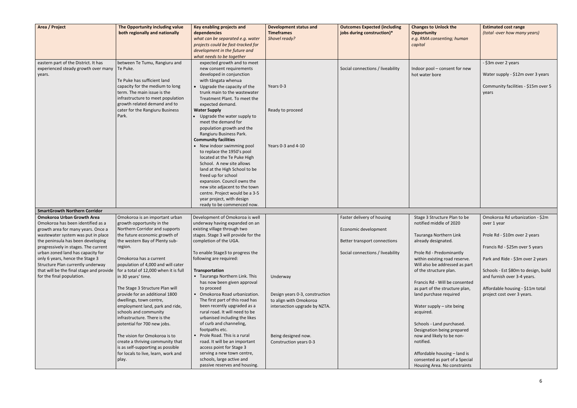| Area / Project                                                                                                                                                                     | The Opportunity including value<br>both regionally and nationally                                                                                                                                                                                           | Key enabling projects and<br>dependencies<br>what can be separated e.g. water<br>projects could be fast-tracked for<br>development in the future and<br>what needs to be together                                                                                                                                                                                                                                                                                                                                                                                                                                                                                                                                                                | <b>Development status and</b><br><b>Timeframes</b><br>Shovel ready? | <b>Outcomes Expected (including</b><br>jobs during construction)* | <b>Changes to Unlock the</b><br><b>Opportunity</b><br>e.g. RMA consenting; human<br>capital                           | <b>Estimated cost range</b><br>(total -over how many years)                                              |
|------------------------------------------------------------------------------------------------------------------------------------------------------------------------------------|-------------------------------------------------------------------------------------------------------------------------------------------------------------------------------------------------------------------------------------------------------------|--------------------------------------------------------------------------------------------------------------------------------------------------------------------------------------------------------------------------------------------------------------------------------------------------------------------------------------------------------------------------------------------------------------------------------------------------------------------------------------------------------------------------------------------------------------------------------------------------------------------------------------------------------------------------------------------------------------------------------------------------|---------------------------------------------------------------------|-------------------------------------------------------------------|-----------------------------------------------------------------------------------------------------------------------|----------------------------------------------------------------------------------------------------------|
| eastern part of the District. It has<br>experienced steady growth over many<br>years.                                                                                              | between Te Tumu, Rangiuru and<br>Te Puke.<br>Te Puke has sufficient land<br>capacity for the medium to long<br>term. The main issue is the<br>infrastructure to meet population<br>growth related demand and to<br>cater for the Rangiuru Business<br>Park. | expected growth and to meet<br>new consent requirements<br>developed in conjunction<br>with tāngata whenua<br>• Upgrade the capacity of the<br>trunk main to the wastewater<br>Treatment Plant. To meet the<br>expected demand.<br><b>Water Supply</b><br>Upgrade the water supply to<br>meet the demand for<br>population growth and the<br>Rangiuru Business Park.<br><b>Community facilities</b><br>• New indoor swimming pool<br>to replace the 1950's pool<br>located at the Te Puke High<br>School. A new site allows<br>land at the High School to be<br>freed up for school<br>expansion. Council owns the<br>new site adjacent to the town<br>centre. Project would be a 3-5<br>year project, with design<br>ready to be commenced now. | Years 0-3<br>Ready to proceed<br>Years 0-3 and 4-10                 | Social connections / liveability                                  | Indoor pool - consent for new<br>hot water bore                                                                       | - \$3m over 2 years<br>Water supply - \$12m over 3 years<br>Community facilities - \$15m over 5<br>years |
| <b>SmartGrowth Northern Corridor</b>                                                                                                                                               |                                                                                                                                                                                                                                                             |                                                                                                                                                                                                                                                                                                                                                                                                                                                                                                                                                                                                                                                                                                                                                  |                                                                     |                                                                   |                                                                                                                       |                                                                                                          |
| <b>Omokoroa Urban Growth Area</b>                                                                                                                                                  | Omokoroa is an important urban                                                                                                                                                                                                                              | Development of Omokoroa is well                                                                                                                                                                                                                                                                                                                                                                                                                                                                                                                                                                                                                                                                                                                  |                                                                     | Faster delivery of housing                                        | Stage 3 Structure Plan to be                                                                                          | Omokoroa Rd urbanization - \$2m                                                                          |
| Omokoroa has been identified as a                                                                                                                                                  | growth opportunity in the                                                                                                                                                                                                                                   | underway having expanded on an                                                                                                                                                                                                                                                                                                                                                                                                                                                                                                                                                                                                                                                                                                                   |                                                                     |                                                                   | notified middle of 2020                                                                                               | over 1 year                                                                                              |
| growth area for many years. Once a                                                                                                                                                 | Northern Corridor and supports                                                                                                                                                                                                                              | existing village through two                                                                                                                                                                                                                                                                                                                                                                                                                                                                                                                                                                                                                                                                                                                     |                                                                     | Economic development                                              |                                                                                                                       |                                                                                                          |
| wastewater system was put in place                                                                                                                                                 | the future economic growth of                                                                                                                                                                                                                               | stages. Stage 3 will provide for the                                                                                                                                                                                                                                                                                                                                                                                                                                                                                                                                                                                                                                                                                                             |                                                                     |                                                                   | Tauranga Northern Link                                                                                                | Prole Rd - \$10m over 2 years                                                                            |
| the peninsula has been developing                                                                                                                                                  | the western Bay of Plenty sub-                                                                                                                                                                                                                              | completion of the UGA.                                                                                                                                                                                                                                                                                                                                                                                                                                                                                                                                                                                                                                                                                                                           |                                                                     | Better transport connections                                      | already designated.                                                                                                   |                                                                                                          |
| progressively in stages. The current                                                                                                                                               | region.                                                                                                                                                                                                                                                     |                                                                                                                                                                                                                                                                                                                                                                                                                                                                                                                                                                                                                                                                                                                                                  |                                                                     |                                                                   |                                                                                                                       | Francis Rd - \$25m over 5 years                                                                          |
| urban zoned land has capacity for<br>only 6 years, hence the Stage 3<br>Structure Plan currently underway<br>that will be the final stage and provide<br>for the final population. | Omokoroa has a current<br>population of 4,000 and will cater<br>for a total of 12,000 when it is full<br>in 30 years' time.                                                                                                                                 | To enable Stage3 to progress the<br>following are required:<br>Transportation<br>• Tauranga Northern Link. This                                                                                                                                                                                                                                                                                                                                                                                                                                                                                                                                                                                                                                  |                                                                     | Social connections / liveability                                  | Prole Rd - Predominantly<br>within existing road reserve.<br>Will also be addressed as part<br>of the structure plan. | Park and Ride - \$3m over 2 years<br>Schools - Est \$80m to design, build                                |
|                                                                                                                                                                                    |                                                                                                                                                                                                                                                             | has now been given approval                                                                                                                                                                                                                                                                                                                                                                                                                                                                                                                                                                                                                                                                                                                      | Underway                                                            |                                                                   | Francis Rd - Will be consented                                                                                        | and furnish over 3-4 years.                                                                              |
|                                                                                                                                                                                    | The Stage 3 Structure Plan will                                                                                                                                                                                                                             | to proceed                                                                                                                                                                                                                                                                                                                                                                                                                                                                                                                                                                                                                                                                                                                                       |                                                                     |                                                                   | as part of the structure plan,                                                                                        | Affordable housing - \$11m total                                                                         |
|                                                                                                                                                                                    | provide for an additional 1800                                                                                                                                                                                                                              | • Omokoroa Road urbanization.                                                                                                                                                                                                                                                                                                                                                                                                                                                                                                                                                                                                                                                                                                                    | Design years 0-3, construction                                      |                                                                   | land purchase required                                                                                                | project cost over 3 years.                                                                               |
|                                                                                                                                                                                    | dwellings, town centre,<br>employment land, park and ride,<br>schools and community<br>infrastructure. There is the<br>potential for 700 new jobs.                                                                                                          | The first part of this road has<br>been recently upgraded as a<br>rural road. It will need to be<br>urbanised including the likes<br>of curb and channeling,<br>footpaths etc.                                                                                                                                                                                                                                                                                                                                                                                                                                                                                                                                                                   | to align with Omokoroa<br>intersection upgrade by NZTA.             |                                                                   | Water supply - site being<br>acquired.<br>Schools - Land purchased.<br>Designation being prepared                     |                                                                                                          |
|                                                                                                                                                                                    | The vision for Omokoroa is to                                                                                                                                                                                                                               | Prole Road. This is a rural                                                                                                                                                                                                                                                                                                                                                                                                                                                                                                                                                                                                                                                                                                                      | Being designed now.                                                 |                                                                   | now and likely to be non-                                                                                             |                                                                                                          |
|                                                                                                                                                                                    | create a thriving community that                                                                                                                                                                                                                            | road. It will be an important                                                                                                                                                                                                                                                                                                                                                                                                                                                                                                                                                                                                                                                                                                                    | Construction years 0-3                                              |                                                                   | notified.                                                                                                             |                                                                                                          |
|                                                                                                                                                                                    | is as self-supporting as possible                                                                                                                                                                                                                           | access point for Stage 3                                                                                                                                                                                                                                                                                                                                                                                                                                                                                                                                                                                                                                                                                                                         |                                                                     |                                                                   |                                                                                                                       |                                                                                                          |
|                                                                                                                                                                                    | for locals to live, learn, work and<br>play.                                                                                                                                                                                                                | serving a new town centre,<br>schools, large active and                                                                                                                                                                                                                                                                                                                                                                                                                                                                                                                                                                                                                                                                                          |                                                                     |                                                                   | Affordable housing - land is<br>consented as part of a Special                                                        |                                                                                                          |
|                                                                                                                                                                                    |                                                                                                                                                                                                                                                             | passive reserves and housing.                                                                                                                                                                                                                                                                                                                                                                                                                                                                                                                                                                                                                                                                                                                    |                                                                     |                                                                   | Housing Area. No constraints                                                                                          |                                                                                                          |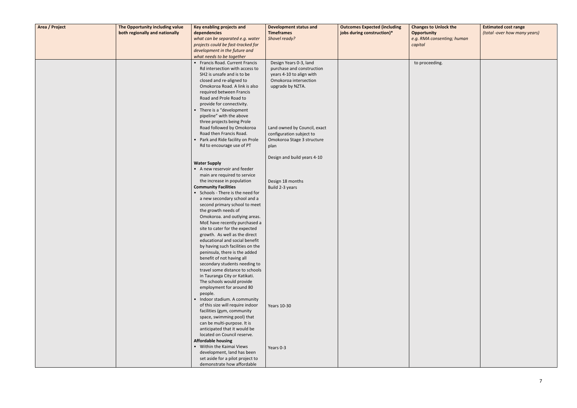| Area / Project | The Opportunity including value | Key enabling projects and                                        | <b>Development status and</b> | <b>Outcomes Expected (including</b> | <b>Changes to Unlock the</b> | <b>Estimated cost range</b>  |
|----------------|---------------------------------|------------------------------------------------------------------|-------------------------------|-------------------------------------|------------------------------|------------------------------|
|                | both regionally and nationally  | dependencies                                                     | <b>Timeframes</b>             | jobs during construction)*          | <b>Opportunity</b>           | (total -over how many years) |
|                |                                 | what can be separated e.g. water                                 | Shovel ready?                 |                                     | e.g. RMA consenting; human   |                              |
|                |                                 | projects could be fast-tracked for                               |                               |                                     | capital                      |                              |
|                |                                 | development in the future and<br>what needs to be together       |                               |                                     |                              |                              |
|                |                                 | • Francis Road. Current Francis                                  | Design Years 0-3, land        |                                     | to proceeding.               |                              |
|                |                                 | Rd intersection with access to                                   | purchase and construction     |                                     |                              |                              |
|                |                                 | SH2 is unsafe and is to be                                       | years 4-10 to align with      |                                     |                              |                              |
|                |                                 | closed and re-aligned to                                         | Omokoroa intersection         |                                     |                              |                              |
|                |                                 | Omokoroa Road. A link is also                                    | upgrade by NZTA.              |                                     |                              |                              |
|                |                                 | required between Francis                                         |                               |                                     |                              |                              |
|                |                                 | Road and Prole Road to                                           |                               |                                     |                              |                              |
|                |                                 | provide for connectivity.<br>There is a "development             |                               |                                     |                              |                              |
|                |                                 | pipeline" with the above                                         |                               |                                     |                              |                              |
|                |                                 | three projects being Prole                                       |                               |                                     |                              |                              |
|                |                                 | Road followed by Omokoroa                                        | Land owned by Council, exact  |                                     |                              |                              |
|                |                                 | Road then Francis Road.                                          | configuration subject to      |                                     |                              |                              |
|                |                                 | Park and Ride facility on Prole                                  | Omokoroa Stage 3 structure    |                                     |                              |                              |
|                |                                 | Rd to encourage use of PT                                        | plan                          |                                     |                              |                              |
|                |                                 |                                                                  | Design and build years 4-10   |                                     |                              |                              |
|                |                                 | <b>Water Supply</b>                                              |                               |                                     |                              |                              |
|                |                                 | • A new reservoir and feeder                                     |                               |                                     |                              |                              |
|                |                                 | main are required to service                                     |                               |                                     |                              |                              |
|                |                                 | the increase in population                                       | Design 18 months              |                                     |                              |                              |
|                |                                 | <b>Community Facilities</b><br>• Schools - There is the need for | Build 2-3 years               |                                     |                              |                              |
|                |                                 | a new secondary school and a                                     |                               |                                     |                              |                              |
|                |                                 | second primary school to meet                                    |                               |                                     |                              |                              |
|                |                                 | the growth needs of                                              |                               |                                     |                              |                              |
|                |                                 | Omokoroa. and outlying areas.                                    |                               |                                     |                              |                              |
|                |                                 | MoE have recently purchased a                                    |                               |                                     |                              |                              |
|                |                                 | site to cater for the expected                                   |                               |                                     |                              |                              |
|                |                                 | growth. As well as the direct<br>educational and social benefit  |                               |                                     |                              |                              |
|                |                                 | by having such facilities on the                                 |                               |                                     |                              |                              |
|                |                                 | peninsula, there is the added                                    |                               |                                     |                              |                              |
|                |                                 | benefit of not having all                                        |                               |                                     |                              |                              |
|                |                                 | secondary students needing to                                    |                               |                                     |                              |                              |
|                |                                 | travel some distance to schools                                  |                               |                                     |                              |                              |
|                |                                 | in Tauranga City or Katikati.<br>The schools would provide       |                               |                                     |                              |                              |
|                |                                 | employment for around 80                                         |                               |                                     |                              |                              |
|                |                                 | people.                                                          |                               |                                     |                              |                              |
|                |                                 | Indoor stadium. A community                                      |                               |                                     |                              |                              |
|                |                                 | of this size will require indoor                                 | Years 10-30                   |                                     |                              |                              |
|                |                                 | facilities (gym, community                                       |                               |                                     |                              |                              |
|                |                                 | space, swimming pool) that                                       |                               |                                     |                              |                              |
|                |                                 | can be multi-purpose. It is<br>anticipated that it would be      |                               |                                     |                              |                              |
|                |                                 | located on Council reserve.                                      |                               |                                     |                              |                              |
|                |                                 | <b>Affordable housing</b>                                        |                               |                                     |                              |                              |
|                |                                 | • Within the Kaimai Views                                        | Years 0-3                     |                                     |                              |                              |
|                |                                 | development, land has been                                       |                               |                                     |                              |                              |
|                |                                 | set aside for a pilot project to                                 |                               |                                     |                              |                              |
|                |                                 | demonstrate how affordable                                       |                               |                                     |                              |                              |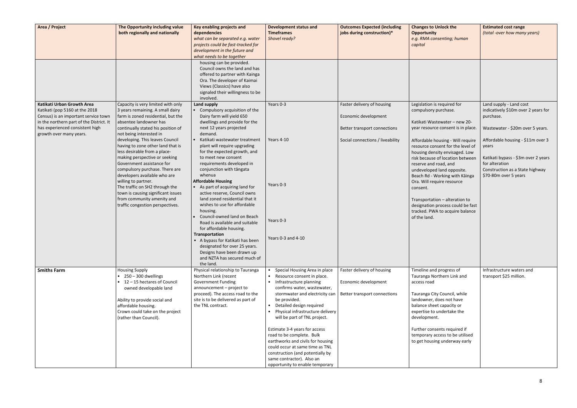| Area / Project                                                                                                                                                                                                 | The Opportunity including value<br>both regionally and nationally                                                                                                                                                                                                                             | Key enabling projects and<br>dependencies<br>what can be separated e.g. water<br>projects could be fast-tracked for<br>development in the future and<br>what needs to be together                                                                     | <b>Development status and</b><br><b>Timeframes</b><br>Shovel ready?                                                                                                                                                                                                                                        | <b>Outcomes Expected (including</b><br>jobs during construction)*                  | <b>Changes to Unlock the</b><br><b>Opportunity</b><br>e.g. RMA consenting; human<br>capital                                                                                                                                                                                     | <b>Estimated cost range</b><br>(total -over how many years)                                                                                                     |
|----------------------------------------------------------------------------------------------------------------------------------------------------------------------------------------------------------------|-----------------------------------------------------------------------------------------------------------------------------------------------------------------------------------------------------------------------------------------------------------------------------------------------|-------------------------------------------------------------------------------------------------------------------------------------------------------------------------------------------------------------------------------------------------------|------------------------------------------------------------------------------------------------------------------------------------------------------------------------------------------------------------------------------------------------------------------------------------------------------------|------------------------------------------------------------------------------------|---------------------------------------------------------------------------------------------------------------------------------------------------------------------------------------------------------------------------------------------------------------------------------|-----------------------------------------------------------------------------------------------------------------------------------------------------------------|
|                                                                                                                                                                                                                |                                                                                                                                                                                                                                                                                               | housing can be provided.<br>Council owns the land and has<br>offered to partner with Kainga<br>Ora. The developer of Kaimai<br>Views (Classics) have also<br>signaled their willingness to be<br>involved.                                            |                                                                                                                                                                                                                                                                                                            |                                                                                    |                                                                                                                                                                                                                                                                                 |                                                                                                                                                                 |
| Katikati Urban Growth Area<br>Katikati (pop 5160 at the 2018<br>Census) is an important service town<br>in the northern part of the District. It<br>has experienced consistent high<br>growth over many years. | Capacity is very limited with only<br>3 years remaining. A small dairy<br>farm is zoned residential, but the<br>absentee landowner has<br>continually stated his position of<br>not being interested in                                                                                       | <b>Land supply</b><br>Compulsory acquisition of the<br>Dairy farm will yield 650<br>dwellings and provide for the<br>next 12 years projected<br>demand.                                                                                               | Years 0-3                                                                                                                                                                                                                                                                                                  | Faster delivery of housing<br>Economic development<br>Better transport connections | Legislation is required for<br>compulsory purchase.<br>Katikati Wastewater - new 20-<br>year resource consent is in place.                                                                                                                                                      | Land supply - Land cost<br>indicatively \$10m over 2 years for<br>purchase.<br>Wastewater - \$20m over 5 years.                                                 |
|                                                                                                                                                                                                                | developing. This leaves Council<br>having to zone other land that is<br>less desirable from a place-<br>making perspective or seeking<br>Government assistance for<br>compulsory purchase. There are<br>developers available who are<br>willing to partner.<br>The traffic on SH2 through the | Katikati wastewater treatment<br>plant will require upgrading<br>for the expected growth, and<br>to meet new consent<br>requirements developed in<br>conjunction with tāngata<br>whenua<br><b>Affordable Housing</b><br>As part of acquiring land for | Years 4-10<br>Years 0-3                                                                                                                                                                                                                                                                                    | Social connections / liveability                                                   | Affordable housing - Will require<br>resource consent for the level of<br>housing density envisaged. Low<br>risk because of location between<br>reserve and road, and<br>undeveloped land opposite.<br>Beach Rd - Working with Kāinga<br>Ora. Will require resource<br>consent. | Affordable housing - \$11m over 3<br>years<br>Katikati bypass - \$3m over 2 years<br>for alteration<br>Construction as a State highway<br>\$70-80m over 5 years |
|                                                                                                                                                                                                                | town is causing significant issues<br>from community amenity and<br>traffic congestion perspectives.                                                                                                                                                                                          | active reserve, Council owns<br>land zoned residential that it<br>wishes to use for affordable<br>housing.<br>Council-owned land on Beach<br>Road is available and suitable<br>for affordable housing.<br>Transportation                              | Years 0-3                                                                                                                                                                                                                                                                                                  |                                                                                    | Transportation - alteration to<br>designation process could be fast<br>tracked. PWA to acquire balance<br>of the land.                                                                                                                                                          |                                                                                                                                                                 |
|                                                                                                                                                                                                                |                                                                                                                                                                                                                                                                                               | A bypass for Katikati has been<br>designated for over 25 years.<br>Designs have been drawn up<br>and NZTA has secured much of<br>the land.                                                                                                            | Years $0-3$ and $4-10$                                                                                                                                                                                                                                                                                     |                                                                                    |                                                                                                                                                                                                                                                                                 |                                                                                                                                                                 |
| <b>Smiths Farm</b>                                                                                                                                                                                             | <b>Housing Supply</b><br>$\bullet$ 250 - 300 dwellings<br>• 12-15 hectares of Council<br>owned developable land<br>Ability to provide social and<br>affordable housing.<br>Crown could take on the project<br>(rather than Council).                                                          | Physical relationship to Tauranga<br>Northern Link (recent<br>Government Funding<br>announcement - project to<br>proceed). The access road to the<br>site is to be delivered as part of<br>the TNL contract.                                          | Special Housing Area in place<br>Resource consent in place.<br>• Infrastructure planning<br>confirms water, wastewater,<br>stormwater and electricity can<br>be provided.<br>Detailed design required<br>Physical infrastructure delivery<br>will be part of TNL project.<br>Estimate 3-4 years for access | Faster delivery of housing<br>Economic development<br>Better transport connections | Timeline and progress of<br>Tauranga Northern Link and<br>access road<br>Tauranga City Council, while<br>landowner, does not have<br>balance sheet capacity or<br>expertise to undertake the<br>development.<br>Further consents required if                                    | Infrastructure waters and<br>transport \$25 million.                                                                                                            |
|                                                                                                                                                                                                                |                                                                                                                                                                                                                                                                                               |                                                                                                                                                                                                                                                       | road to be complete. Bulk<br>earthworks and civils for housing<br>could occur at same time as TNL<br>construction (and potentially by<br>same contractor). Also an<br>opportunity to enable temporary                                                                                                      |                                                                                    | temporary access to be utilised<br>to get housing underway early                                                                                                                                                                                                                |                                                                                                                                                                 |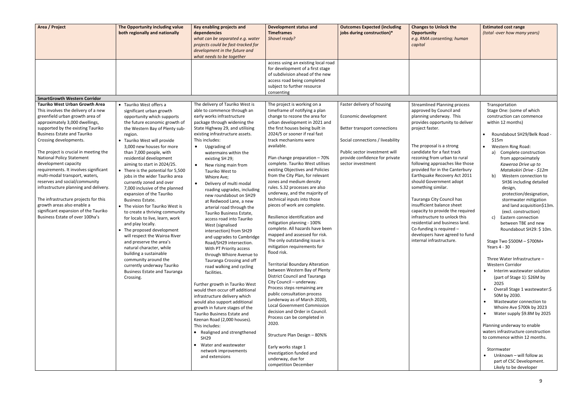| Area / Project                                                                                                                                                                                                                                                                                                                                                                                                                                                                                                                                                                                                                                                    | The Opportunity including value<br>both regionally and nationally                                                                                                                                                                                                                                                                                                                                                                                                                                                                                                                                                                                                                                                                                                                                                                                                                                     | Key enabling projects and<br>dependencies<br>what can be separated e.g. water<br>projects could be fast-tracked for<br>development in the future and<br>what needs to be together                                                                                                                                                                                                                                                                                                                                                                                                                                                                                                                                                                                                                                                                                                                                                                                                                                                                                                                                                                                                                      | <b>Development status and</b><br><b>Timeframes</b><br>Shovel ready?                                                                                                                                                                                                                                                                                                                                                                                                                                                                                                                                                                                                                                                                                                                                                                                                                                                                                                                                                                                                                                                                                                                                                                                         | <b>Outcomes Expected (including</b><br>jobs during construction)*                                                                                                                                              | <b>Changes to Unlock the</b><br><b>Opportunity</b><br>e.g. RMA consenting; human<br>capital                                                                                                                                                                                                                                                                                                                                                                                                                                                                                                                                                                 | <b>Estimated cost range</b><br>(total -over how many years)                                                                                                                                                                                                                                                                                                                                                                                                                                                                                                                                                                                                                                                                                                                                                                                                                                                                                                                                                                                                                                                     |
|-------------------------------------------------------------------------------------------------------------------------------------------------------------------------------------------------------------------------------------------------------------------------------------------------------------------------------------------------------------------------------------------------------------------------------------------------------------------------------------------------------------------------------------------------------------------------------------------------------------------------------------------------------------------|-------------------------------------------------------------------------------------------------------------------------------------------------------------------------------------------------------------------------------------------------------------------------------------------------------------------------------------------------------------------------------------------------------------------------------------------------------------------------------------------------------------------------------------------------------------------------------------------------------------------------------------------------------------------------------------------------------------------------------------------------------------------------------------------------------------------------------------------------------------------------------------------------------|--------------------------------------------------------------------------------------------------------------------------------------------------------------------------------------------------------------------------------------------------------------------------------------------------------------------------------------------------------------------------------------------------------------------------------------------------------------------------------------------------------------------------------------------------------------------------------------------------------------------------------------------------------------------------------------------------------------------------------------------------------------------------------------------------------------------------------------------------------------------------------------------------------------------------------------------------------------------------------------------------------------------------------------------------------------------------------------------------------------------------------------------------------------------------------------------------------|-------------------------------------------------------------------------------------------------------------------------------------------------------------------------------------------------------------------------------------------------------------------------------------------------------------------------------------------------------------------------------------------------------------------------------------------------------------------------------------------------------------------------------------------------------------------------------------------------------------------------------------------------------------------------------------------------------------------------------------------------------------------------------------------------------------------------------------------------------------------------------------------------------------------------------------------------------------------------------------------------------------------------------------------------------------------------------------------------------------------------------------------------------------------------------------------------------------------------------------------------------------|----------------------------------------------------------------------------------------------------------------------------------------------------------------------------------------------------------------|-------------------------------------------------------------------------------------------------------------------------------------------------------------------------------------------------------------------------------------------------------------------------------------------------------------------------------------------------------------------------------------------------------------------------------------------------------------------------------------------------------------------------------------------------------------------------------------------------------------------------------------------------------------|-----------------------------------------------------------------------------------------------------------------------------------------------------------------------------------------------------------------------------------------------------------------------------------------------------------------------------------------------------------------------------------------------------------------------------------------------------------------------------------------------------------------------------------------------------------------------------------------------------------------------------------------------------------------------------------------------------------------------------------------------------------------------------------------------------------------------------------------------------------------------------------------------------------------------------------------------------------------------------------------------------------------------------------------------------------------------------------------------------------------|
|                                                                                                                                                                                                                                                                                                                                                                                                                                                                                                                                                                                                                                                                   |                                                                                                                                                                                                                                                                                                                                                                                                                                                                                                                                                                                                                                                                                                                                                                                                                                                                                                       |                                                                                                                                                                                                                                                                                                                                                                                                                                                                                                                                                                                                                                                                                                                                                                                                                                                                                                                                                                                                                                                                                                                                                                                                        | access using an existing local road<br>for development of a first stage<br>of subdivision ahead of the new<br>access road being completed<br>subject to further resource<br>consenting                                                                                                                                                                                                                                                                                                                                                                                                                                                                                                                                                                                                                                                                                                                                                                                                                                                                                                                                                                                                                                                                      |                                                                                                                                                                                                                |                                                                                                                                                                                                                                                                                                                                                                                                                                                                                                                                                                                                                                                             |                                                                                                                                                                                                                                                                                                                                                                                                                                                                                                                                                                                                                                                                                                                                                                                                                                                                                                                                                                                                                                                                                                                 |
| <b>SmartGrowth Western Corridor</b>                                                                                                                                                                                                                                                                                                                                                                                                                                                                                                                                                                                                                               |                                                                                                                                                                                                                                                                                                                                                                                                                                                                                                                                                                                                                                                                                                                                                                                                                                                                                                       |                                                                                                                                                                                                                                                                                                                                                                                                                                                                                                                                                                                                                                                                                                                                                                                                                                                                                                                                                                                                                                                                                                                                                                                                        |                                                                                                                                                                                                                                                                                                                                                                                                                                                                                                                                                                                                                                                                                                                                                                                                                                                                                                                                                                                                                                                                                                                                                                                                                                                             |                                                                                                                                                                                                                |                                                                                                                                                                                                                                                                                                                                                                                                                                                                                                                                                                                                                                                             |                                                                                                                                                                                                                                                                                                                                                                                                                                                                                                                                                                                                                                                                                                                                                                                                                                                                                                                                                                                                                                                                                                                 |
| <b>Tauriko West Urban Growth Area</b><br>This involves the delivery of a new<br>greenfield urban growth area of<br>approximately 3,000 dwellings,<br>supported by the existing Tauriko<br><b>Business Estate and Tauriko</b><br>Crossing developments.<br>The project is crucial in meeting the<br><b>National Policy Statement</b><br>development capacity<br>requirements. It involves significant<br>multi-modal transport, waters,<br>reserves and social/community<br>infrastructure planning and delivery.<br>The infrastructure projects for this<br>growth areas also enable a<br>significant expansion of the Tauriko<br>Business Estate of over 100ha's | • Tauriko West offers a<br>significant urban growth<br>opportunity which supports<br>the future economic growth of<br>the Western Bay of Plenty sub-<br>region.<br>• Tauriko West will provide<br>3,000 new houses for more<br>than 7,000 people, with<br>residential development<br>aiming to start in 2024/25.<br>• There is the potential for 5,500<br>jobs in the wider Tauriko area<br>currently zoned and over<br>7,000 inclusive of the planned<br>expansion of the Tauriko<br><b>Business Estate.</b><br>• The vision for Tauriko West is<br>to create a thriving community<br>for locals to live, learn, work<br>and play locally.<br>• The proposed development<br>will respect the Wairoa River<br>and preserve the area's<br>natural character, while<br>building a sustainable<br>community around the<br>currently underway Tauriko<br><b>Business Estate and Tauranga</b><br>Crossing. | The delivery of Tauriko West is<br>able to commence through an<br>early works infrastructure<br>package through widening the<br>State Highway 29, and utilising<br>existing infrastructure assets.<br>This includes:<br>Upgrading of<br>$\bullet$<br>watermains within the<br>existing SH 29;<br>New rising main from<br>$\bullet$<br>Tauriko West to<br>Whiore Ave;<br>Delivery of multi modal<br>$\bullet$<br>roading upgrades, including<br>new roundabout on SH29<br>at Redwood Lane, a new<br>arterial road through the<br>Tauriko Business Estate,<br>access road into Tauriko<br>West (signalised<br>intersection) from SH29<br>and upgrades to Cambridge<br>Road/SH29 intersection.<br>With PT Priority access<br>through Whiore Avenue to<br>Tauranga Crossing and off<br>road walking and cycling<br>facilities.<br>Further growth in Tauriko West<br>would then occur off additional<br>infrastructure delivery which<br>would also support additional<br>growth in future stages of the<br>Tauriko Business Estate and<br>Keenan Road (2,000 houses).<br>This includes:<br>• Realigned and strengthened<br><b>SH29</b><br>• Water and wastewater<br>network improvements<br>and extensions | The project is working on a<br>timeframe of notifying a plan<br>change to rezone the area for<br>urban development in 2021 and<br>the first houses being built in<br>2024/5 or sooner if real fast<br>track mechanisms were<br>available.<br>Plan change preparation - 70%<br>complete. Tauriko West utilises<br>existing Objectives and Policies<br>from the City Plan, for relevant<br>zones and medium density<br>rules. S.32 processes are also<br>underway, and the majority of<br>technical inputs into those<br>pieces of work are complete.<br>Resilience identification and<br>mitigation planning - 100%<br>complete. All hazards have been<br>mapped and assessed for risk.<br>The only outstanding issue is<br>mitigation requirements for<br>flood risk.<br><b>Territorial Boundary Alteration</b><br>between Western Bay of Plenty<br><b>District Council and Tauranga</b><br>City Council - underway.<br>Process steps remaining are<br>public consultation process<br>(underway as of March 2020),<br>Local Government Commission<br>decision and Order in Council.<br>Process can be completed in<br>2020.<br>Structure Plan Design - 80%%<br>Early works stage 1<br>investigation funded and<br>underway, due for<br>competition December | Faster delivery of housing<br>Economic development<br>Better transport connections<br>Social connections / liveability<br>Public sector investment will<br>provide confidence for private<br>sector investment | <b>Streamlined Planning process</b><br>approved by Council and<br>planning underway. This<br>provides opportunity to deliver<br>project faster.<br>The proposal is a strong<br>candidate for a fast track<br>rezoning from urban to rural<br>following approaches like those<br>provided for in the Canterbury<br>Earthquake Recovery Act 2011<br>should Government adopt<br>something similar.<br>Tauranga City Council has<br>insufficient balance sheet<br>capacity to provide the required<br>infrastructure to unlock this<br>residential and business land.<br>Co-funding is required -<br>developers have agreed to fund<br>internal infrastructure. | Transportation<br>Stage One: (some of which<br>construction can commence<br>within 12 months)<br>Roundabout SH29/Belk Road -<br>\$15m<br>Western Ring Road:<br>$\bullet$<br>a) Complete construction<br>from approximately<br>Kaweroa Drive up to<br>Matakokiri Drive - \$12m<br>$\mathbf{b}$<br>Western connection to<br>SH36 including detailed<br>design,<br>protection/designation,<br>stormwater mitigation<br>and land acquisition\$13m.<br>(excl. construction)<br>Eastern connection<br>$\mathsf{C}$<br>between TBE and new<br>Roundabout SH29: \$10m.<br>Stage Two \$500M - \$700M+<br>Years 4 - 30<br>Three Water Infrastructure -<br>Western Corridor<br>Interim wastewater solution<br>(part of Stage 1): \$26M by<br>2025<br>Overall Stage 1 wastewater:\$<br>$\bullet$<br>50M by 2030.<br>Wastewater connection to<br>$\bullet$<br>Whoire Ave \$700k by 2023<br>Water supply \$9.8M by 2025<br>Planning underway to enable<br>waters infrastructure construction<br>to commence within 12 months.<br>Stormwater<br>Unknown - will follow as<br>part of CSC Development.<br>Likely to be developer |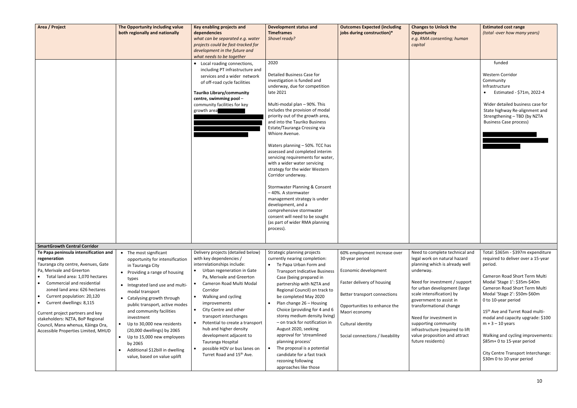| Area / Project                                                                                                                                                                                                                                                                                                                                                                                                                                         | The Opportunity including value<br>both regionally and nationally                                                                                                                                                                                                                                                                                                                                                                                                                                         | Key enabling projects and<br>dependencies<br>what can be separated e.g. water<br>projects could be fast-tracked for<br>development in the future and<br>what needs to be together                                                                                                                                                                                                                                                                                               | <b>Development status and</b><br><b>Timeframes</b><br>Shovel ready?                                                                                                                                                                                                                                                                                                                                                                                                                                                                                                                                                                                                                                                                  | <b>Outcomes Expected (including</b><br>jobs during construction)*                                                                                                                                                                              | <b>Changes to Unlock the</b><br><b>Opportunity</b><br>e.g. RMA consenting; human<br>capital                                                                                                                                                                                                                                                                                                                   | <b>Estimated cost range</b><br>(total -over how many years)                                                                                                                                                                                                                                                                                                                                                                                                                                 |
|--------------------------------------------------------------------------------------------------------------------------------------------------------------------------------------------------------------------------------------------------------------------------------------------------------------------------------------------------------------------------------------------------------------------------------------------------------|-----------------------------------------------------------------------------------------------------------------------------------------------------------------------------------------------------------------------------------------------------------------------------------------------------------------------------------------------------------------------------------------------------------------------------------------------------------------------------------------------------------|---------------------------------------------------------------------------------------------------------------------------------------------------------------------------------------------------------------------------------------------------------------------------------------------------------------------------------------------------------------------------------------------------------------------------------------------------------------------------------|--------------------------------------------------------------------------------------------------------------------------------------------------------------------------------------------------------------------------------------------------------------------------------------------------------------------------------------------------------------------------------------------------------------------------------------------------------------------------------------------------------------------------------------------------------------------------------------------------------------------------------------------------------------------------------------------------------------------------------------|------------------------------------------------------------------------------------------------------------------------------------------------------------------------------------------------------------------------------------------------|---------------------------------------------------------------------------------------------------------------------------------------------------------------------------------------------------------------------------------------------------------------------------------------------------------------------------------------------------------------------------------------------------------------|---------------------------------------------------------------------------------------------------------------------------------------------------------------------------------------------------------------------------------------------------------------------------------------------------------------------------------------------------------------------------------------------------------------------------------------------------------------------------------------------|
|                                                                                                                                                                                                                                                                                                                                                                                                                                                        |                                                                                                                                                                                                                                                                                                                                                                                                                                                                                                           | • Local roading connections,<br>including PT infrastructure and<br>services and a wider network<br>of off-road cycle facilities<br>Tauriko Library/community<br>centre, swimming pool -<br>community facilities for key<br>growth area                                                                                                                                                                                                                                          | 2020<br>Detailed Business Case for<br>investigation is funded and<br>underway, due for competition<br>late 2021<br>Multi-modal plan - 90%. This<br>includes the provision of modal<br>priority out of the growth area,<br>and into the Tauriko Business<br>Estate/Tauranga Crossing via<br>Whiore Avenue.<br>Waters planning - 50%. TCC has<br>assessed and completed interim<br>servicing requirements for water,<br>with a wider water servicing<br>strategy for the wider Western<br>Corridor underway.<br>Stormwater Planning & Consent<br>-40%. A stormwater<br>management strategy is under<br>development, and a<br>comprehensive stormwater<br>consent will need to be sought<br>(as part of wider RMA planning<br>process). |                                                                                                                                                                                                                                                |                                                                                                                                                                                                                                                                                                                                                                                                               | funded<br>Western Corridor<br>Community<br>Infrastructure<br>$\bullet$ Estimated - \$71m, 2022-4<br>Wider detailed business case for<br>State highway Re-alignment and<br>Strengthening - TBD (by NZTA<br><b>Business Case process)</b>                                                                                                                                                                                                                                                     |
| <b>SmartGrowth Central Corridor</b>                                                                                                                                                                                                                                                                                                                                                                                                                    |                                                                                                                                                                                                                                                                                                                                                                                                                                                                                                           |                                                                                                                                                                                                                                                                                                                                                                                                                                                                                 |                                                                                                                                                                                                                                                                                                                                                                                                                                                                                                                                                                                                                                                                                                                                      |                                                                                                                                                                                                                                                |                                                                                                                                                                                                                                                                                                                                                                                                               |                                                                                                                                                                                                                                                                                                                                                                                                                                                                                             |
| Te Papa peninsula intensification and<br>regeneration<br>Tauranga city centre, Avenues, Gate<br>Pa, Merivale and Greerton<br>Total land area: 1,070 hectares<br>Commercial and residential<br>zoned land area: 626 hectares<br>Current population: 20,120<br>$\bullet$<br>Current dwellings: 8,115<br>Current project partners and key<br>stakeholders: NZTA, BoP Regional<br>Council, Mana whenua, Kāinga Ora,<br>Accessible Properties Limited, MHUD | • The most significant<br>opportunity for intensification<br>in Tauranga City<br>• Providing a range of housing<br>types<br>• Integrated land use and multi-<br>modal transport<br>• Catalysing growth through<br>public transport, active modes<br>and community facilities<br>investment<br>Up to 30,000 new residents<br>$\bullet$<br>(20,000 dwellings) by 2065<br>Up to 15,000 new employees<br>$\bullet$<br>by 2065<br>Additional \$12bill in dwelling<br>$\bullet$<br>value, based on value uplift | Delivery projects (detailed below)<br>with key dependencies /<br>interrelationships include:<br>Urban regeneration in Gate<br>Pa, Merivale and Greerton<br>Cameron Road Multi Modal<br>Corridor<br>Walking and cycling<br>improvements<br>City Centre and other<br>transport interchanges<br>Potential to create a transport<br>hub and higher density<br>development adjacent to<br>Tauranga Hospital<br>possible HOV or bus lanes on<br>Turret Road and 15 <sup>th</sup> Ave. | Strategic planning projects<br>currently nearing completion:<br>Te Papa Urban Form and<br><b>Transport Indicative Business</b><br>Case (being prepared in<br>partnership with NZTA and<br>Regional Council) on track to<br>be completed May 2020<br>Plan change 26 - Housing<br>Choice (providing for 4 and 6<br>storey medium density living)<br>- on track for notification in<br>August 2020, seeking<br>approval for 'streamlined<br>planning process'<br>The proposal is a potential<br>candidate for a fast track<br>rezoning following<br>approaches like those                                                                                                                                                               | 60% employment increase over<br>30-year period<br>Economic development<br>Faster delivery of housing<br>Better transport connections<br>Opportunities to enhance the<br>Maori economy<br>Cultural identity<br>Social connections / liveability | Need to complete technical and<br>legal work on natural hazard<br>planning which is already well<br>underway.<br>Need for investment / support<br>for urban development (large<br>scale intensification) by<br>government to assist in<br>transformational change<br>Need for investment in<br>supporting community<br>infrastructure (required to lift<br>value proposition and attract<br>future residents) | Total: \$365m - \$397m expenditure<br>required to deliver over a 15-year<br>period.<br>Cameron Road Short Term Multi<br>Modal 'Stage 1': \$35m-\$40m<br>Cameron Road Short Term Multi<br>Modal 'Stage 2': \$50m-\$60m<br>0 to 10-year period<br>15 <sup>th</sup> Ave and Turret Road multi-<br>modal and capacity upgrade: \$100<br>$m + 3 - 10$ years<br>Walking and cycling improvements:<br>\$85m+0 to 15-year period<br>City Centre Transport Interchange:<br>\$30m 0 to 10-year period |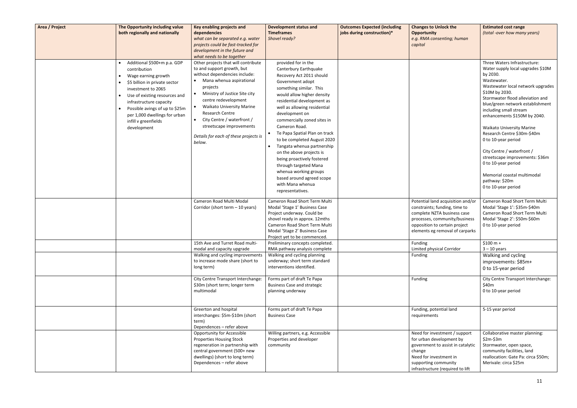| Area / Project | The Opportunity including value<br>both regionally and nationally                                                                                                                                                                                                                               | Key enabling projects and<br>dependencies<br>what can be separated e.g. water<br>projects could be fast-tracked for<br>development in the future and<br>what needs to be together                                                                                                                                                                                                             | <b>Development status and</b><br><b>Timeframes</b><br>Shovel ready?                                                                                                                                                                                                                                                                                                                                                                                                                                                                                                  | <b>Outcomes Expected (including</b><br>jobs during construction)* | <b>Changes to Unlock the</b><br><b>Opportunity</b><br>e.g. RMA consenting; human<br>capital                                                                                                            | <b>Estimated cost range</b><br>(total -over how many years)                                                                                                                                                                                                                                                                                                                                                                                                                                                                                     |
|----------------|-------------------------------------------------------------------------------------------------------------------------------------------------------------------------------------------------------------------------------------------------------------------------------------------------|-----------------------------------------------------------------------------------------------------------------------------------------------------------------------------------------------------------------------------------------------------------------------------------------------------------------------------------------------------------------------------------------------|----------------------------------------------------------------------------------------------------------------------------------------------------------------------------------------------------------------------------------------------------------------------------------------------------------------------------------------------------------------------------------------------------------------------------------------------------------------------------------------------------------------------------------------------------------------------|-------------------------------------------------------------------|--------------------------------------------------------------------------------------------------------------------------------------------------------------------------------------------------------|-------------------------------------------------------------------------------------------------------------------------------------------------------------------------------------------------------------------------------------------------------------------------------------------------------------------------------------------------------------------------------------------------------------------------------------------------------------------------------------------------------------------------------------------------|
|                | Additional \$500+m p.a. GDP<br>contribution<br>Wage earning growth<br>\$5 billion in private sector<br>investment to 2065<br>Use of existing resources and<br>infrastructure capacity<br>Possible avings of up to \$25m<br>per 1,000 dwellings for urban<br>infill v greenfields<br>development | Other projects that will contribute<br>to and support growth, but<br>without dependencies include:<br>Mana whenua aspirational<br>projects<br>• Ministry of Justice Site city<br>centre redevelopment<br><b>Waikato University Marine</b><br><b>Research Centre</b><br>City Centre / waterfront /<br>$\bullet$<br>streetscape improvements<br>Details for each of these projects is<br>below. | provided for in the<br>Canterbury Earthquake<br>Recovery Act 2011 should<br>Government adopt<br>something similar. This<br>would allow higher density<br>residential development as<br>well as allowing residential<br>development on<br>commercially zoned sites in<br>Cameron Road.<br>Te Papa Spatial Plan on track<br>to be completed August 2020<br>Tangata whenua partnership<br>on the above projects is<br>being proactively fostered<br>through targeted Mana<br>whenua working groups<br>based around agreed scope<br>with Mana whenua<br>representatives. |                                                                   |                                                                                                                                                                                                        | Three Waters Infrastructure:<br>Water supply local upgrades \$10M<br>by 2030.<br>Wastewater.<br>Wastewater local network upgrades<br>\$10M by 2030.<br>Stormwater flood alleviation and<br>blue/green network establishment<br>including small stream<br>enhancements \$150M by 2040.<br><b>Waikato University Marine</b><br>Research Centre \$30m-\$40m<br>0 to 10-year period<br>City Centre / waterfront /<br>streetscape improvements: \$36m<br>0 to 10-year period<br>Memorial coastal multimodal<br>pathway: \$20m<br>0 to 10-year period |
|                |                                                                                                                                                                                                                                                                                                 | Cameron Road Multi Modal<br>Corridor (short term - 10 years)                                                                                                                                                                                                                                                                                                                                  | Cameron Road Short Term Multi<br>Modal 'Stage 1' Business Case<br>Project underway. Could be<br>shovel ready in approx. 12mths<br>Cameron Road Short Term Multi<br>Modal 'Stage 2' Business Case<br>Project yet to be commenced.                                                                                                                                                                                                                                                                                                                                     |                                                                   | Potential land acquisition and/or<br>constraints; funding, time to<br>complete NZTA business case<br>processes, community/business<br>opposition to certain project<br>elements eg removal of carparks | Cameron Road Short Term Multi<br>Modal 'Stage 1': \$35m-\$40m<br>Cameron Road Short Term Multi<br>Modal 'Stage 2': \$50m-\$60m<br>0 to 10-year period                                                                                                                                                                                                                                                                                                                                                                                           |
|                |                                                                                                                                                                                                                                                                                                 | 15th Ave and Turret Road multi-<br>modal and capacity upgrade                                                                                                                                                                                                                                                                                                                                 | Preliminary concepts completed.<br>RMA pathway analysis complete                                                                                                                                                                                                                                                                                                                                                                                                                                                                                                     |                                                                   | Funding<br>Limited physical Corridor                                                                                                                                                                   | $$100 m +$<br>$3 - 10$ years                                                                                                                                                                                                                                                                                                                                                                                                                                                                                                                    |
|                |                                                                                                                                                                                                                                                                                                 | Walking and cycling improvements<br>to increase mode share (short to<br>long term)                                                                                                                                                                                                                                                                                                            | Walking and cycling planning<br>underway; short term standard<br>interventions identified.                                                                                                                                                                                                                                                                                                                                                                                                                                                                           |                                                                   | Funding                                                                                                                                                                                                | Walking and cycling<br>improvements: \$85m+<br>0 to 15-year period                                                                                                                                                                                                                                                                                                                                                                                                                                                                              |
|                |                                                                                                                                                                                                                                                                                                 | City Centre Transport Interchange:<br>\$30m (short term; longer term<br>multimodal                                                                                                                                                                                                                                                                                                            | Forms part of draft Te Papa<br><b>Business Case and strategic</b><br>planning underway                                                                                                                                                                                                                                                                                                                                                                                                                                                                               |                                                                   | Funding                                                                                                                                                                                                | City Centre Transport Interchange:<br>\$40m<br>0 to 10-year period                                                                                                                                                                                                                                                                                                                                                                                                                                                                              |
|                |                                                                                                                                                                                                                                                                                                 | Greerton and hospital<br>interchanges: \$5m-\$10m (short<br>term)<br>Dependences - refer above                                                                                                                                                                                                                                                                                                | Forms part of draft Te Papa<br><b>Business Case</b>                                                                                                                                                                                                                                                                                                                                                                                                                                                                                                                  |                                                                   | Funding, potential land<br>requirements                                                                                                                                                                | 5-15 year period                                                                                                                                                                                                                                                                                                                                                                                                                                                                                                                                |
|                |                                                                                                                                                                                                                                                                                                 | <b>Opportunity for Accessible</b><br><b>Properties Housing Stock</b><br>regeneration in partnership with<br>central government (500+ new<br>dwellings) (short to long term)<br>Dependences - refer above                                                                                                                                                                                      | Willing partners, e.g. Accessible<br>Properties and developer<br>community                                                                                                                                                                                                                                                                                                                                                                                                                                                                                           |                                                                   | Need for investment / support<br>for urban development by<br>government to assist in catalytic<br>change<br>Need for investment in<br>supporting community<br>infrastructure (required to lift         | Collaborative master planning:<br>$$2m-$3m$<br>Stormwater, open space,<br>community facilities, land<br>reallocation: Gate Pa: circa \$50m;<br>Merivale: circa \$25m                                                                                                                                                                                                                                                                                                                                                                            |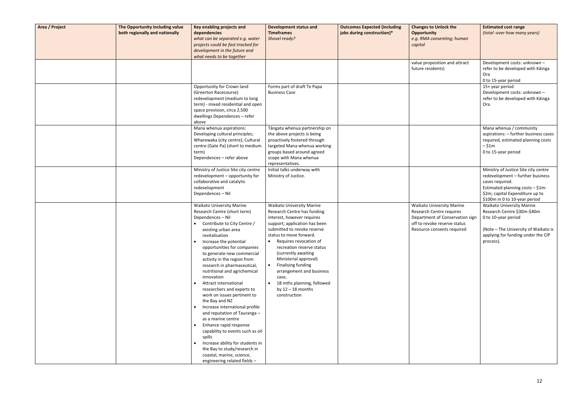| Area / Project | The Opportunity including value<br>both regionally and nationally | Key enabling projects and<br>dependencies<br>what can be separated e.g. water<br>projects could be fast-tracked for<br>development in the future and<br>what needs to be together                                                                                                                                                                                                                                                                                                                                                                                                                                                                                                                                                                                         | <b>Development status and</b><br><b>Timeframes</b><br>Shovel ready?                                                                                                                                                                                                                                                                                                                                                             | <b>Outcomes Expected (including</b><br>jobs during construction)* | <b>Changes to Unlock the</b><br><b>Opportunity</b><br>e.g. RMA consenting; human<br>capital                                                                   | <b>Estimated cost range</b><br>(total -over how many years)                                                                                                                                         |
|----------------|-------------------------------------------------------------------|---------------------------------------------------------------------------------------------------------------------------------------------------------------------------------------------------------------------------------------------------------------------------------------------------------------------------------------------------------------------------------------------------------------------------------------------------------------------------------------------------------------------------------------------------------------------------------------------------------------------------------------------------------------------------------------------------------------------------------------------------------------------------|---------------------------------------------------------------------------------------------------------------------------------------------------------------------------------------------------------------------------------------------------------------------------------------------------------------------------------------------------------------------------------------------------------------------------------|-------------------------------------------------------------------|---------------------------------------------------------------------------------------------------------------------------------------------------------------|-----------------------------------------------------------------------------------------------------------------------------------------------------------------------------------------------------|
|                |                                                                   |                                                                                                                                                                                                                                                                                                                                                                                                                                                                                                                                                                                                                                                                                                                                                                           |                                                                                                                                                                                                                                                                                                                                                                                                                                 |                                                                   | value proposition and attract<br>future residents)                                                                                                            | Development costs: unknown -<br>refer to be developed with Kainga<br>Ora<br>0 to 15-year period                                                                                                     |
|                |                                                                   | Opportunity for Crown land<br>(Greerton Racecourse)<br>redevelopment (medium to long<br>term) - mixed residential and open<br>space provision, circa 2,500<br>dwellings Dependences - refer<br>above                                                                                                                                                                                                                                                                                                                                                                                                                                                                                                                                                                      | Forms part of draft Te Papa<br><b>Business Case</b>                                                                                                                                                                                                                                                                                                                                                                             |                                                                   |                                                                                                                                                               | 15+ year period<br>Development costs: unknown -<br>refer to be developed with Kainga<br>Ora                                                                                                         |
|                |                                                                   | Mana whenua aspirations:<br>Developing cultural principles;<br>Wharewaka (city centre); Cultural<br>centre (Gate Pa) (short to medium<br>term)<br>Dependences - refer above                                                                                                                                                                                                                                                                                                                                                                                                                                                                                                                                                                                               | Tāngata whenua partnership on<br>the above projects is being<br>proactively fostered through<br>targeted Mana whenua working<br>groups based around agreed<br>scope with Mana whenua<br>representatives.                                                                                                                                                                                                                        |                                                                   |                                                                                                                                                               | Mana whenua / community<br>aspirations: - further business cases<br>required, estimated planning costs<br>$-$ \$1m<br>0 to 15-year period                                                           |
|                |                                                                   | Ministry of Justice Site city centre<br>redevelopment - opportunity for<br>collaborative and catalytic<br>redevelopment<br>Dependences - Nil                                                                                                                                                                                                                                                                                                                                                                                                                                                                                                                                                                                                                              | Initial talks underway with<br>Ministry of Justice.                                                                                                                                                                                                                                                                                                                                                                             |                                                                   |                                                                                                                                                               | Ministry of Justice Site city centre<br>redevelopment - further business<br>cases required.<br>Estimated planning costs - \$1m-<br>\$2m; capital Expenditure up to<br>\$100m in 0 to 10-year period |
|                |                                                                   | <b>Waikato University Marine</b><br>Research Centre (short term)<br>Dependences - Nil<br>Contribute to City Centre /<br>existing urban area<br>revitalisation<br>Increase the potential<br>opportunities for companies<br>to generate new commercial<br>activity in the region from<br>research in pharmaceutical,<br>nutritional and agrichemical<br>innovation<br>Attract international<br>researchers and experts to<br>work on issues pertinent to<br>the Bay and NZ<br>Increase international profile<br>and reputation of Tauranga -<br>as a marine centre<br>Enhance rapid response<br>capability to events such as oil<br>spills<br>Increase ability for students in<br>the Bay to study/research in<br>coastal, marine, science,<br>engineering related fields - | <b>Waikato University Marine</b><br>Research Centre has funding<br>interest, however requires<br>support; application has been<br>submitted to revoke reserve<br>status to move forward.<br>Requires revocation of<br>recreation reserve status<br>(currently awaiting<br>Ministerial approval)<br>Finalising funding<br>arrangement and business<br>case,<br>18 mths planning, followed<br>by $12 - 18$ months<br>construction |                                                                   | <b>Waikato University Marine</b><br>Research Centre requires<br>Department of Conservation sign<br>off to revoke reserve status<br>Resource consents required | <b>Waikato University Marine</b><br>Research Centre \$30m-\$40m<br>0 to 10-year period<br>(Note - The University of Waikato is<br>applying for funding under the CIP<br>process).                   |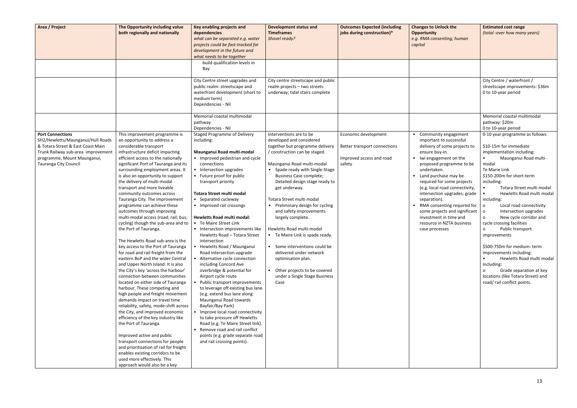| Area / Project                                                                                                                                                                                  | The Opportunity including value<br>both regionally and nationally                                                                                                                                                                                                                                                                                                                                                                                                                                                                                                                                                                                                                                                                                                                                                                                                                                                                                                                                                                                                                                                                                                                                                                                                                                                                                               | Key enabling projects and<br>dependencies<br>what can be separated e.g. water<br>projects could be fast-tracked for<br>development in the future and<br>what needs to be together<br>build qualification levels in                                                                                                                                                                                                                                                                                                                                                                                                                                                                                                                                                                                                                                                                                                                                                                                             | <b>Development status and</b><br><b>Timeframes</b><br>Shovel ready?                                                                                                                                                                                                                                                                                                                                                                                                                                                                                                                                          | <b>Outcomes Expected (including</b><br>jobs during construction)*                          | <b>Changes to Unlock the</b><br><b>Opportunity</b><br>e.g. RMA consenting; human<br>capital                                                                                                                                                                                                                                                                                                                                                                    | <b>Estimated cost range</b><br>(total -over how many years)                                                                                                                                                                                                                                                                                                                                                                                                                                                                                                                                                                                                                                  |
|-------------------------------------------------------------------------------------------------------------------------------------------------------------------------------------------------|-----------------------------------------------------------------------------------------------------------------------------------------------------------------------------------------------------------------------------------------------------------------------------------------------------------------------------------------------------------------------------------------------------------------------------------------------------------------------------------------------------------------------------------------------------------------------------------------------------------------------------------------------------------------------------------------------------------------------------------------------------------------------------------------------------------------------------------------------------------------------------------------------------------------------------------------------------------------------------------------------------------------------------------------------------------------------------------------------------------------------------------------------------------------------------------------------------------------------------------------------------------------------------------------------------------------------------------------------------------------|----------------------------------------------------------------------------------------------------------------------------------------------------------------------------------------------------------------------------------------------------------------------------------------------------------------------------------------------------------------------------------------------------------------------------------------------------------------------------------------------------------------------------------------------------------------------------------------------------------------------------------------------------------------------------------------------------------------------------------------------------------------------------------------------------------------------------------------------------------------------------------------------------------------------------------------------------------------------------------------------------------------|--------------------------------------------------------------------------------------------------------------------------------------------------------------------------------------------------------------------------------------------------------------------------------------------------------------------------------------------------------------------------------------------------------------------------------------------------------------------------------------------------------------------------------------------------------------------------------------------------------------|--------------------------------------------------------------------------------------------|----------------------------------------------------------------------------------------------------------------------------------------------------------------------------------------------------------------------------------------------------------------------------------------------------------------------------------------------------------------------------------------------------------------------------------------------------------------|----------------------------------------------------------------------------------------------------------------------------------------------------------------------------------------------------------------------------------------------------------------------------------------------------------------------------------------------------------------------------------------------------------------------------------------------------------------------------------------------------------------------------------------------------------------------------------------------------------------------------------------------------------------------------------------------|
|                                                                                                                                                                                                 |                                                                                                                                                                                                                                                                                                                                                                                                                                                                                                                                                                                                                                                                                                                                                                                                                                                                                                                                                                                                                                                                                                                                                                                                                                                                                                                                                                 | Bay                                                                                                                                                                                                                                                                                                                                                                                                                                                                                                                                                                                                                                                                                                                                                                                                                                                                                                                                                                                                            |                                                                                                                                                                                                                                                                                                                                                                                                                                                                                                                                                                                                              |                                                                                            |                                                                                                                                                                                                                                                                                                                                                                                                                                                                |                                                                                                                                                                                                                                                                                                                                                                                                                                                                                                                                                                                                                                                                                              |
|                                                                                                                                                                                                 |                                                                                                                                                                                                                                                                                                                                                                                                                                                                                                                                                                                                                                                                                                                                                                                                                                                                                                                                                                                                                                                                                                                                                                                                                                                                                                                                                                 | City Centre street upgrades and<br>public realm: streetscape and<br>waterfront development (short to<br>medium term)<br>Dependencies - Nil                                                                                                                                                                                                                                                                                                                                                                                                                                                                                                                                                                                                                                                                                                                                                                                                                                                                     | City centre streetscape and public<br>realm projects - two streets<br>underway; tidal stairs complete                                                                                                                                                                                                                                                                                                                                                                                                                                                                                                        |                                                                                            |                                                                                                                                                                                                                                                                                                                                                                                                                                                                | City Centre / waterfront /<br>streetscape improvements: \$36m<br>0 to 10-year period                                                                                                                                                                                                                                                                                                                                                                                                                                                                                                                                                                                                         |
|                                                                                                                                                                                                 |                                                                                                                                                                                                                                                                                                                                                                                                                                                                                                                                                                                                                                                                                                                                                                                                                                                                                                                                                                                                                                                                                                                                                                                                                                                                                                                                                                 | Memorial coastal multimodal<br>pathway<br>Dependencies - Nil                                                                                                                                                                                                                                                                                                                                                                                                                                                                                                                                                                                                                                                                                                                                                                                                                                                                                                                                                   |                                                                                                                                                                                                                                                                                                                                                                                                                                                                                                                                                                                                              |                                                                                            |                                                                                                                                                                                                                                                                                                                                                                                                                                                                | Memorial coastal multimodal<br>pathway: \$20m<br>0 to 10-year period                                                                                                                                                                                                                                                                                                                                                                                                                                                                                                                                                                                                                         |
| <b>Port Connections</b><br>SH2/Hewletts/Maunganui/Hull Roads<br>& Totara Street & East Coast Main<br>Trunk Railway sub-area improvement<br>programme, Mount Maunganui,<br>Tauranga City Council | This improvement programme is<br>an opportunity to address a<br>considerable transport<br>infrastructure deficit impacting<br>efficient access to the nationally<br>significant Port of Tauranga and its<br>surrounding employment areas. It<br>is also an opportunity to support<br>the delivery of multi-modal<br>transport and more liveable<br>community outcomes across<br>Tauranga City. The improvement<br>programme can achieve these<br>outcomes through improving<br>multi-modal access (road; rail; bus;<br>cycling) though the sub-area and to<br>the Port of Tauranga.<br>The Hewletts Road sub-area is the<br>key access to the Port of Tauranga<br>for road and rail freight from the<br>eastern BoP and the wider Central<br>and Upper North Island. It is also<br>the City's key 'across the harbour'<br>connection between communities<br>located on either side of Tauranga<br>harbour. These competing and<br>high people and freight movement<br>demands impact on travel time<br>reliability, safety, mode-shift across<br>the City, and improved economic<br>efficiency of the key industry like<br>the Port of Tauranga.<br>Improved active and public<br>transport connections for people<br>and prioritisation of rail for freight<br>enables existing corridors to be<br>used more effectively. This<br>approach would also be a key | <b>Staged Programme of Delivery</b><br>including:<br>Maunganui Road multi-modal<br>• Improved pedestrian and cycle<br>connections<br>• Intersection upgrades<br>• Future proof for public<br>transport priority<br><b>Totara Street multi modal</b><br>• Separated cycleway<br>• Improved rail crossings<br><b>Hewletts Road multi modal:</b><br>• Te Maire Street Link<br>• Intersection improvements like<br>Hewletts Road - Totara Street<br>intersection<br>• Hewletts Road / Maunganui<br>Road intersection upgrade<br>• Alternative cycle connection<br>including Concord Ave<br>overbridge & potential for<br>Airport cycle route<br>• Public transport improvements<br>to leverage off existing bus lane<br>(e.g. extend bus lane along<br>Maunganui Road towards<br>Bayfair/Bay Park)<br>• Improve local road connectivity<br>to take pressure off Hewletts<br>Road (e.g. Te Maire Street link).<br>• Remove road and rail conflict<br>points (e.g. grade separate road<br>and rail crossing points). | Interventions are to be<br>developed and considered<br>together but programme delivery<br>/ construction can be staged.<br>Maunganui Road multi-modal<br>Spade ready with Single-Stage<br>Business Case complete;<br>Detailed design stage ready to<br>get underway.<br>Totara Street multi modal<br>Preliminary design for cycling<br>and safety improvements<br>largely complete.<br>Hewletts Road multi-modal<br>• Te Maire Link is spade ready.<br>Some interventions could be<br>delivered under network<br>optimisation plan.<br>Other projects to be covered<br>under a Single Stage Business<br>Case | Economic development<br>Better transport connections<br>Improved access and road<br>safety | • Community engagement<br>important to successful<br>delivery of some projects to<br>ensure buy-in.<br>• Iwi engagement on the<br>proposed programme to be<br>undertaken.<br>• Land purchase may be<br>required for some projects<br>(e.g. local road connectivity,<br>intersection upgrades; grade<br>separation).<br>• RMA consenting required for<br>some projects and significant<br>investment in time and<br>resource in NZTA business<br>case processes | 0-10 year programme as follows:<br>\$10-15m for immediate<br>implementation including:<br>Maunganui Road multi-<br>modal<br>Te Marie Link<br>\$150-200m for short-term<br>including:<br>Totara Street multi modal<br>Hewletts Road multi modal<br>including:<br>Local road connectivity<br>$\circ$<br>Intersection upgrades<br>$\circ$<br>New cycle corridor and<br>$\mathbf{o}$<br>cycle crossing facilities<br>Public transport<br>$\mathsf{o}$<br>improvements<br>\$500-750m for medium-term<br>improvements including:<br>Hewletts Road multi modal<br>$\bullet$<br>including:<br>Grade separation at key<br>$\circ$<br>locations (like Totara Street) and<br>road/rail conflict points. |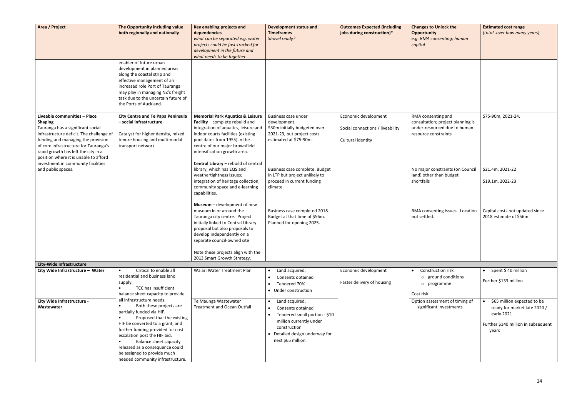| Area / Project                                                                                                                                                                                                                                                                                 | The Opportunity including value<br>both regionally and nationally                                                                                                                                                                                                                                                                                               | Key enabling projects and<br>dependencies<br>what can be separated e.g. water<br>projects could be fast-tracked for<br>development in the future and<br>what needs to be together                                                                              | <b>Development status and</b><br><b>Timeframes</b><br>Shovel ready?                                                                                                                  | <b>Outcomes Expected (including</b><br>jobs during construction)*             | <b>Changes to Unlock the</b><br><b>Opportunity</b><br>e.g. RMA consenting; human<br>capital                     | <b>Estimated cost range</b><br>(total -over how many years)                                                               |
|------------------------------------------------------------------------------------------------------------------------------------------------------------------------------------------------------------------------------------------------------------------------------------------------|-----------------------------------------------------------------------------------------------------------------------------------------------------------------------------------------------------------------------------------------------------------------------------------------------------------------------------------------------------------------|----------------------------------------------------------------------------------------------------------------------------------------------------------------------------------------------------------------------------------------------------------------|--------------------------------------------------------------------------------------------------------------------------------------------------------------------------------------|-------------------------------------------------------------------------------|-----------------------------------------------------------------------------------------------------------------|---------------------------------------------------------------------------------------------------------------------------|
|                                                                                                                                                                                                                                                                                                | enabler of future urban<br>development in planned areas<br>along the coastal strip and<br>effective management of an<br>increased role Port of Tauranga<br>may play in managing NZ's freight<br>task due to the uncertain future of<br>the Ports of Auckland.                                                                                                   |                                                                                                                                                                                                                                                                |                                                                                                                                                                                      |                                                                               |                                                                                                                 |                                                                                                                           |
| Liveable communities - Place<br><b>Shaping</b><br>Tauranga has a significant social<br>infrastructure deficit. The challenge of<br>funding and managing the provision<br>of core infrastructure for Tauranga's<br>rapid growth has left the city in a<br>position where it is unable to afford | <b>City Centre and Te Papa Peninsula</b><br>- social infrastructure<br>Catalyst for higher density, mixed<br>tenure housing and multi-modal<br>transport network                                                                                                                                                                                                | <b>Memorial Park Aquatics &amp; Leisure</b><br>Facility - complete rebuild and<br>integration of aquatics, leisure and<br>indoor courts facilities (existing<br>pool dates from 1955) in the<br>centre of our major brownfield<br>intensification growth area. | Business case under<br>development.<br>\$30m initially budgeted over<br>2021-23, but project costs<br>estimated at \$75-90m.                                                         | Economic development<br>Social connections / liveability<br>Cultural identity | RMA consenting and<br>consultation; project planning is<br>under-resourced due to human<br>resource constraints | \$75-90m, 2021-24.                                                                                                        |
| investment in community facilities<br>and public spaces.                                                                                                                                                                                                                                       |                                                                                                                                                                                                                                                                                                                                                                 | Central Library - rebuild of central<br>library, which has EQS and<br>weathertightness issues;<br>integration of heritage collection,<br>community space and e-learning<br>capabilities.<br>Museum - development of new                                        | Business case complete. Budget<br>in LTP but project unlikely to<br>proceed in current funding<br>climate.                                                                           |                                                                               | No major constraints (on Council<br>land) other than budget<br>shortfalls                                       | \$21.4m, 2021-22<br>\$19.1m, 2022-23                                                                                      |
|                                                                                                                                                                                                                                                                                                |                                                                                                                                                                                                                                                                                                                                                                 | museum in or around the<br>Tauranga city centre. Project<br>initially linked to Central Library<br>proposal but also proposals to<br>develop independently on a<br>separate council-owned site                                                                 | Business case completed 2018.<br>Budget at that time of \$56m.<br>Planned for opening 2025.                                                                                          |                                                                               | RMA consenting issues. Location<br>not settled.                                                                 | Capital costs not updated since<br>2018 estimate of \$56m.                                                                |
|                                                                                                                                                                                                                                                                                                |                                                                                                                                                                                                                                                                                                                                                                 | Note these projects align with the<br>2013 Smart Growth Strategy.                                                                                                                                                                                              |                                                                                                                                                                                      |                                                                               |                                                                                                                 |                                                                                                                           |
| <b>City-Wide Infrastructure</b>                                                                                                                                                                                                                                                                |                                                                                                                                                                                                                                                                                                                                                                 |                                                                                                                                                                                                                                                                |                                                                                                                                                                                      |                                                                               |                                                                                                                 |                                                                                                                           |
| City Wide Infrastructure - Water                                                                                                                                                                                                                                                               | Critical to enable all<br>residential and business land<br>supply.<br>TCC has insufficient<br>balance sheet capacity to provide                                                                                                                                                                                                                                 | Waiari Water Treatment Plan                                                                                                                                                                                                                                    | Land acquired,<br>$\bullet$<br>Consents obtained<br>Tendered 70%<br>• Under construction                                                                                             | Economic development<br>Faster delivery of housing                            | Construction risk<br>$\bullet$<br>o ground conditions<br>o programme<br>Cost risk                               | $\bullet$ Spent \$40 million<br>Further \$133 million                                                                     |
| City Wide Infrastructure -<br>Wastewater                                                                                                                                                                                                                                                       | all infrastructure needs.<br>Both these projects are<br>partially funded via HIF.<br>Proposed that the existing<br>HIF be converted to a grant, and<br>further funding provided for cost<br>escalation post the HIF bid.<br><b>Balance sheet capacity</b><br>released as a consequence could<br>be assigned to provide much<br>needed community infrastructure. | Te Maunga Wastewater<br><b>Treatment and Ocean Outfall</b>                                                                                                                                                                                                     | Land acquired,<br>Consents obtained<br>Tendered small portion - \$10<br>$\bullet$<br>million currently under<br>construction<br>• Detailed design underway for<br>next \$65 million. |                                                                               | Option assessment of timing of<br>significant investments                                                       | \$65 million expected to be<br>ready for market late 2020 /<br>early 2021<br>Further \$140 million in subsequent<br>years |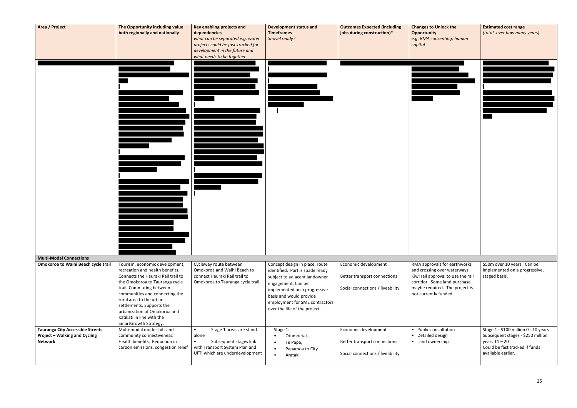| Area / Project                                                                                    | The Opportunity including value<br>both regionally and nationally                                                                                                                                                                                                                                                                                     | Key enabling projects and<br>dependencies<br>what can be separated e.g. water<br>projects could be fast-tracked for<br>development in the future and<br>what needs to be together | <b>Development status and</b><br><b>Timeframes</b><br>Shovel ready?                                                                                                                                                                                    | <b>Outcomes Expected (including</b><br>jobs during construction)*                        | <b>Changes to Unlock the</b><br><b>Opportunity</b><br>e.g. RMA consenting; human<br>capital                                                                                                   | <b>Estimated cost range</b><br>(total -over how many years)                                                                                          |
|---------------------------------------------------------------------------------------------------|-------------------------------------------------------------------------------------------------------------------------------------------------------------------------------------------------------------------------------------------------------------------------------------------------------------------------------------------------------|-----------------------------------------------------------------------------------------------------------------------------------------------------------------------------------|--------------------------------------------------------------------------------------------------------------------------------------------------------------------------------------------------------------------------------------------------------|------------------------------------------------------------------------------------------|-----------------------------------------------------------------------------------------------------------------------------------------------------------------------------------------------|------------------------------------------------------------------------------------------------------------------------------------------------------|
|                                                                                                   |                                                                                                                                                                                                                                                                                                                                                       |                                                                                                                                                                                   |                                                                                                                                                                                                                                                        |                                                                                          |                                                                                                                                                                                               |                                                                                                                                                      |
| <b>Multi-Modal Connections</b>                                                                    |                                                                                                                                                                                                                                                                                                                                                       |                                                                                                                                                                                   |                                                                                                                                                                                                                                                        |                                                                                          |                                                                                                                                                                                               |                                                                                                                                                      |
| Omokoroa to Waihi Beach cycle trail                                                               | Tourism, economic development,<br>recreation and health benefits.<br>Connects the Hauraki Rail trail to<br>the Omokoroa to Tauranga cycle<br>trail. Commuting between<br>communities and connecting the<br>rural area to the urban<br>settlements. Supports the<br>urbanization of Omokoroa and<br>Katikati in line with the<br>SmartGrowth Strategy. | Cycleway route between<br>Omokoroa and Waihi Beach to<br>connect Hauraki Rail trail to<br>Omokoroa to Tauranga cycle trail.                                                       | Concept design in place, route<br>identified. Part is spade ready<br>subject to adjacent landowner<br>engagement. Can be<br>implemented on a progressive<br>basis and would provide<br>employment for SME contractors<br>over the life of the project. | Economic development<br>Better transport connections<br>Social connections / liveability | RMA approvals for earthworks<br>and crossing over waterways,<br>Kiwi rail approval to use the rail<br>corridor. Some land purchase<br>maybe required. The project is<br>not currently funded. | \$50m over 10 years. Can be<br>implemented on a progressive,<br>staged basis.                                                                        |
| <b>Tauranga City Accessible Streets</b><br><b>Project - Walking and Cycling</b><br><b>Network</b> | Multi-modal mode shift and<br>community connectiveness.<br>Health benefits. Reduction in<br>carbon emissions, congestion relief                                                                                                                                                                                                                       | Stage 1 areas are stand<br>$\bullet$<br>alone<br>Subsequent stages link<br>$\bullet$<br>with Transport System Plan and<br>UFTI which are underdevelopment                         | Stage 1:<br>Otumoetai,<br>$\bullet$<br>Te Papa,<br>$\bullet$<br>Papamoa to City<br>$\bullet$<br>Arataki<br>$\bullet$                                                                                                                                   | Economic development<br>Better transport connections<br>Social connections / liveability | • Public consultation<br>• Detailed design<br>• Land ownership                                                                                                                                | Stage 1 - \$100 million 0 - 10 years<br>Subsequent stages - \$250 million<br>years $11 - 20$<br>Could be fast tracked if funds<br>available earlier. |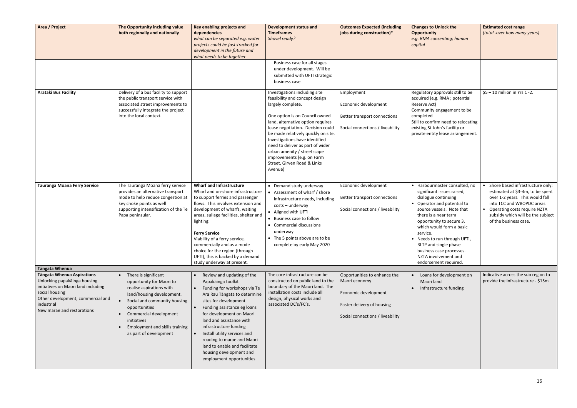| Area / Project                                                                                                                                                                                              | The Opportunity including value<br>both regionally and nationally                                                                                                                                                                                                                         | <b>Key enabling projects and</b><br>dependencies<br>what can be separated e.g. water<br>projects could be fast-tracked for<br>development in the future and<br>what needs to be together                                                                                                                                                                                                                                                   | <b>Development status and</b><br><b>Timeframes</b><br>Shovel ready?                                                                                                                                                                                                                                                                                                                                                  | <b>Outcomes Expected (including</b><br>jobs during construction)*                                                                       | <b>Changes to Unlock the</b><br><b>Opportunity</b><br>e.g. RMA consenting; h<br>capital                                                                                                                                                                                                                                      |
|-------------------------------------------------------------------------------------------------------------------------------------------------------------------------------------------------------------|-------------------------------------------------------------------------------------------------------------------------------------------------------------------------------------------------------------------------------------------------------------------------------------------|--------------------------------------------------------------------------------------------------------------------------------------------------------------------------------------------------------------------------------------------------------------------------------------------------------------------------------------------------------------------------------------------------------------------------------------------|----------------------------------------------------------------------------------------------------------------------------------------------------------------------------------------------------------------------------------------------------------------------------------------------------------------------------------------------------------------------------------------------------------------------|-----------------------------------------------------------------------------------------------------------------------------------------|------------------------------------------------------------------------------------------------------------------------------------------------------------------------------------------------------------------------------------------------------------------------------------------------------------------------------|
|                                                                                                                                                                                                             |                                                                                                                                                                                                                                                                                           |                                                                                                                                                                                                                                                                                                                                                                                                                                            | Business case for all stages<br>under development. Will be<br>submitted with UFTI strategic<br>business case                                                                                                                                                                                                                                                                                                         |                                                                                                                                         |                                                                                                                                                                                                                                                                                                                              |
| <b>Arataki Bus Facility</b>                                                                                                                                                                                 | Delivery of a bus facility to support<br>the public transport service with<br>associated street improvements to<br>successfully integrate the project<br>into the local context.                                                                                                          |                                                                                                                                                                                                                                                                                                                                                                                                                                            | Investigations including site<br>feasibility and concept design<br>largely complete.<br>One option is on Council owned<br>land, alternative option requires<br>lease negotiation. Decision could<br>be made relatively quickly on site.<br>Investigations have identified<br>need to deliver as part of wider<br>urban amenity / streetscape<br>improvements (e.g. on Farm<br>Street, Girven Road & Links<br>Avenue) | Employment<br>Economic development<br>Better transport connections<br>Social connections / liveability                                  | Regulatory approvals st<br>acquired (e.g. RMA; po<br>Reserve Act)<br>Community engagemer<br>completed<br>Still to confirm need to<br>existing St John's facilit<br>private entity lease arra                                                                                                                                 |
| <b>Tauranga Moana Ferry Service</b>                                                                                                                                                                         | The Tauranga Moana ferry service<br>provides an alternative transport<br>mode to help reduce congestion at<br>key choke points as well<br>supporting intensification of the Te<br>Papa peninsular.                                                                                        | <b>Wharf and Infrastructure</b><br>Wharf and on-shore infrastructure<br>to support ferries and passenger<br>flows. This involves extension and<br>development of wharfs, waiting<br>areas, sullage facilities, shelter and<br>lighting.<br><b>Ferry Service</b><br>Viability of a ferry service,<br>commercially and as a mode<br>choice for the region (through<br>UFTI), this is backed by a demand<br>study underway at present.        | • Demand study underway<br>• Assessment of wharf / shore<br>infrastructure needs, including<br>costs - underway<br>• Aligned with UFTI<br>Business case to follow<br>Commercial discussions<br>$\bullet$<br>underway<br>• The 5 points above are to be<br>complete by early May 2020                                                                                                                                 | Economic development<br>Better transport connections<br>Social connections / liveability                                                | • Harbourmaster cons<br>significant issues rais<br>dialogue continuing<br>• Operator and potent<br>source vessels. Note<br>there is a near term<br>opportunity to secur<br>which would form a<br>service.<br>Needs to run throug<br>RLTP and single phas<br>business case proces<br>NZTA involvement a<br>endorsement requir |
| Tāngata Whenua                                                                                                                                                                                              |                                                                                                                                                                                                                                                                                           |                                                                                                                                                                                                                                                                                                                                                                                                                                            |                                                                                                                                                                                                                                                                                                                                                                                                                      |                                                                                                                                         |                                                                                                                                                                                                                                                                                                                              |
| <b>Tängata Whenua Aspirations</b><br>Unlocking papakāinga housing<br>initiatives on Maori land including<br>social housing<br>Other development, commercial and<br>industrial<br>New marae and restorations | There is significant<br>$\bullet$<br>opportunity for Maori to<br>realise aspirations with<br>land/housing development.<br>Social and community housing<br>$\bullet$<br>opportunities<br>Commercial development<br>initiatives<br>Employment and skills training<br>as part of development | Review and updating of the<br>Papakāinga toolkit<br>Funding for workshops via Te<br>Ara Rau Tāngata to determine<br>sites for development<br>Funding assistance eg loans<br>$\bullet$<br>for development on Maori<br>land and assistance with<br>infrastructure funding<br>Install utility services and<br>$\bullet$<br>roading to marae and Maori<br>land to enable and facilitate<br>housing development and<br>employment opportunities | The core infrastructure can be<br>constructed on public land to the<br>boundary of the Maori land. The<br>installation costs include all<br>design, physical works and<br>associated DC's/FC's.                                                                                                                                                                                                                      | Opportunities to enhance the<br>Maori economy<br>Economic development<br>Faster delivery of housing<br>Social connections / liveability | Loans for developn<br>Maori land<br>Infrastructure fund                                                                                                                                                                                                                                                                      |

| <b>Changes to Unlock the</b><br><b>Opportunity</b><br>e.g. RMA consenting; human<br>capital                                                                                                                                                                                                                                                                                     | <b>Estimated cost range</b><br>(total -over how many years)                                                                                                                                                                         |  |  |  |
|---------------------------------------------------------------------------------------------------------------------------------------------------------------------------------------------------------------------------------------------------------------------------------------------------------------------------------------------------------------------------------|-------------------------------------------------------------------------------------------------------------------------------------------------------------------------------------------------------------------------------------|--|--|--|
|                                                                                                                                                                                                                                                                                                                                                                                 |                                                                                                                                                                                                                                     |  |  |  |
| Regulatory approvals still to be<br>acquired (e.g. RMA; potential<br>Reserve Act)<br>Community engagement to be<br>completed<br>Still to confirm need to relocating<br>existing St John's facility or<br>private entity lease arrangement.                                                                                                                                      | \$5 - 10 million in Yrs 1 -2.                                                                                                                                                                                                       |  |  |  |
| Harbourmaster consulted, no<br>significant issues raised,<br>dialogue continuing<br>Operator and potential to<br>٠<br>source vessels. Note that<br>there is a near term<br>opportunity to secure 3,<br>which would form a basic<br>service.<br>Needs to run through UFTI,<br>RLTP and single phase<br>business case processes.<br>NZTA involvement and<br>endorsement required. | Shore based infrastructure only:<br>estimated at \$3-4m, to be spent<br>over 1-2 years. This would fall<br>into TCC and WBOPDC areas.<br>Operating costs require NZTA<br>subsidy which will be the subject<br>of the business case. |  |  |  |
| Loans for development on                                                                                                                                                                                                                                                                                                                                                        | Indicative across the sub region to<br>provide the infrastructure - \$15m                                                                                                                                                           |  |  |  |
| Maori land<br>Infrastructure funding                                                                                                                                                                                                                                                                                                                                            |                                                                                                                                                                                                                                     |  |  |  |